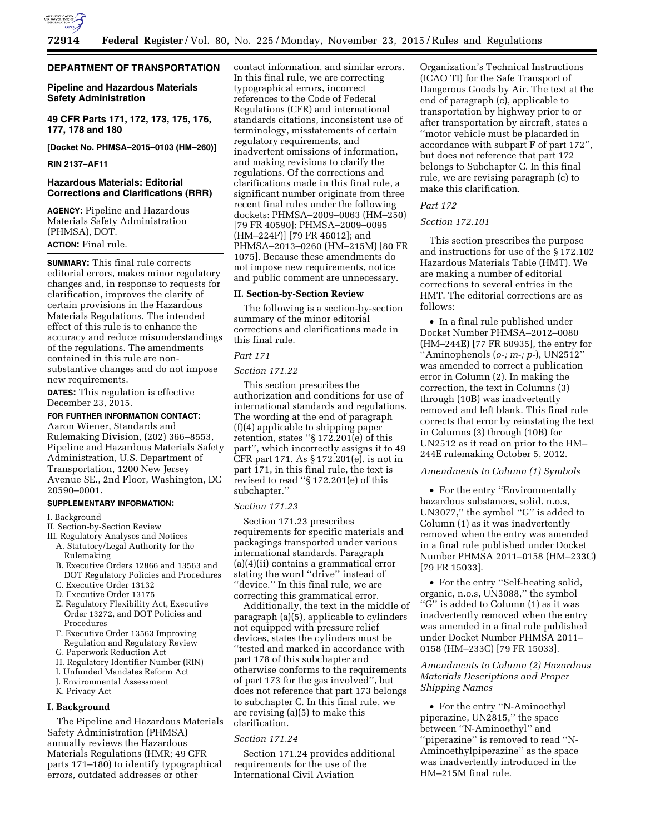

### **DEPARTMENT OF TRANSPORTATION**

## **Pipeline and Hazardous Materials Safety Administration**

**49 CFR Parts 171, 172, 173, 175, 176, 177, 178 and 180** 

**[Docket No. PHMSA–2015–0103 (HM–260)]** 

### **RIN 2137–AF11**

### **Hazardous Materials: Editorial Corrections and Clarifications (RRR)**

**AGENCY:** Pipeline and Hazardous Materials Safety Administration (PHMSA), DOT. **ACTION:** Final rule.

**SUMMARY:** This final rule corrects editorial errors, makes minor regulatory changes and, in response to requests for clarification, improves the clarity of certain provisions in the Hazardous Materials Regulations. The intended effect of this rule is to enhance the accuracy and reduce misunderstandings of the regulations. The amendments contained in this rule are nonsubstantive changes and do not impose new requirements.

**DATES:** This regulation is effective December 23, 2015.

# **FOR FURTHER INFORMATION CONTACT:**

Aaron Wiener, Standards and Rulemaking Division, (202) 366–8553, Pipeline and Hazardous Materials Safety Administration, U.S. Department of Transportation, 1200 New Jersey Avenue SE., 2nd Floor, Washington, DC 20590–0001.

### **SUPPLEMENTARY INFORMATION:**

### I. Background

- II. Section-by-Section Review
- III. Regulatory Analyses and Notices A. Statutory/Legal Authority for the Rulemaking
	- B. Executive Orders 12866 and 13563 and DOT Regulatory Policies and Procedures
	- C. Executive Order 13132
	- D. Executive Order 13175
	- E. Regulatory Flexibility Act, Executive Order 13272, and DOT Policies and Procedures
	- F. Executive Order 13563 Improving Regulation and Regulatory Review
	- G. Paperwork Reduction Act
	- H. Regulatory Identifier Number (RIN)
	- I. Unfunded Mandates Reform Act
	- J. Environmental Assessment
	- K. Privacy Act

### **I. Background**

The Pipeline and Hazardous Materials Safety Administration (PHMSA) annually reviews the Hazardous Materials Regulations (HMR; 49 CFR parts 171–180) to identify typographical errors, outdated addresses or other

contact information, and similar errors. In this final rule, we are correcting typographical errors, incorrect references to the Code of Federal Regulations (CFR) and international standards citations, inconsistent use of terminology, misstatements of certain regulatory requirements, and inadvertent omissions of information, and making revisions to clarify the regulations. Of the corrections and clarifications made in this final rule, a significant number originate from three recent final rules under the following dockets: PHMSA–2009–0063 (HM–250) [79 FR 40590]; PHMSA–2009–0095 (HM–224F)] [79 FR 46012]; and PHMSA–2013–0260 (HM–215M) [80 FR 1075]. Because these amendments do not impose new requirements, notice and public comment are unnecessary.

## **II. Section-by-Section Review**

The following is a section-by-section summary of the minor editorial corrections and clarifications made in this final rule.

## *Part 171*

## *Section 171.22*

This section prescribes the authorization and conditions for use of international standards and regulations. The wording at the end of paragraph (f)(4) applicable to shipping paper retention, states ''§ 172.201(e) of this part'', which incorrectly assigns it to 49 CFR part 171. As § 172.201(e), is not in part 171, in this final rule, the text is revised to read ''§ 172.201(e) of this subchapter.''

#### *Section 171.23*

Section 171.23 prescribes requirements for specific materials and packagings transported under various international standards. Paragraph (a)(4)(ii) contains a grammatical error stating the word ''drive'' instead of ''device.'' In this final rule, we are correcting this grammatical error.

Additionally, the text in the middle of paragraph (a)(5), applicable to cylinders not equipped with pressure relief devices, states the cylinders must be ''tested and marked in accordance with part 178 of this subchapter and otherwise conforms to the requirements of part 173 for the gas involved'', but does not reference that part 173 belongs to subchapter C. In this final rule, we are revising (a)(5) to make this clarification.

### *Section 171.24*

Section 171.24 provides additional requirements for the use of the International Civil Aviation

Organization's Technical Instructions (ICAO TI) for the Safe Transport of Dangerous Goods by Air. The text at the end of paragraph (c), applicable to transportation by highway prior to or after transportation by aircraft, states a ''motor vehicle must be placarded in accordance with subpart F of part 172'', but does not reference that part 172 belongs to Subchapter C. In this final rule, we are revising paragraph (c) to make this clarification.

# *Part 172*

### *Section 172.101*

This section prescribes the purpose and instructions for use of the § 172.102 Hazardous Materials Table (HMT). We are making a number of editorial corrections to several entries in the HMT. The editorial corrections are as follows:

• In a final rule published under Docket Number PHMSA–2012–0080 (HM–244E) [77 FR 60935], the entry for ''Aminophenols (*o-; m-; p-*), UN2512'' was amended to correct a publication error in Column (2). In making the correction, the text in Columns (3) through (10B) was inadvertently removed and left blank. This final rule corrects that error by reinstating the text in Columns (3) through (10B) for UN2512 as it read on prior to the HM– 244E rulemaking October 5, 2012.

#### *Amendments to Column (1) Symbols*

• For the entry ''Environmentally hazardous substances, solid, n.o.s, UN3077,'' the symbol ''G'' is added to Column (1) as it was inadvertently removed when the entry was amended in a final rule published under Docket Number PHMSA 2011–0158 (HM–233C) [79 FR 15033].

• For the entry ''Self-heating solid, organic, n.o.s, UN3088,'' the symbol ''G'' is added to Column (1) as it was inadvertently removed when the entry was amended in a final rule published under Docket Number PHMSA 2011– 0158 (HM–233C) [79 FR 15033].

# *Amendments to Column (2) Hazardous Materials Descriptions and Proper Shipping Names*

• For the entry ''N-Aminoethyl piperazine, UN2815,'' the space between ''N-Aminoethyl'' and ''piperazine'' is removed to read ''N-Aminoethylpiperazine'' as the space was inadvertently introduced in the HM–215M final rule.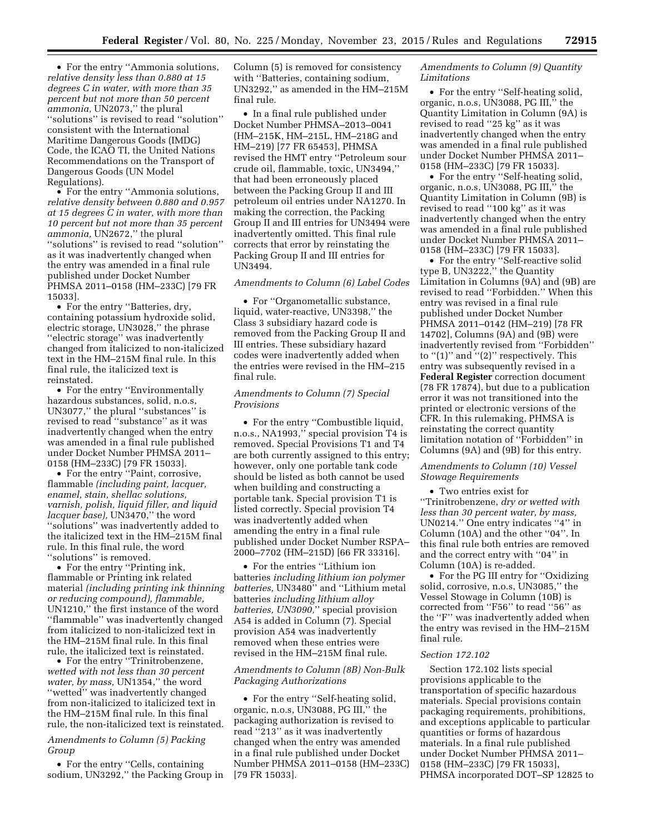• For the entry ''Ammonia solutions, *relative density less than 0.880 at 15 degrees C in water, with more than 35 percent but not more than 50 percent ammonia,* UN2073,'' the plural ''solutions'' is revised to read ''solution'' consistent with the International Maritime Dangerous Goods (IMDG) Code, the ICAO TI, the United Nations Recommendations on the Transport of Dangerous Goods (UN Model Regulations).

• For the entry "Ammonia solutions, *relative density between 0.880 and 0.957 at 15 degrees C in water, with more than 10 percent but not more than 35 percent ammonia,* UN2672,'' the plural ''solutions'' is revised to read ''solution'' as it was inadvertently changed when the entry was amended in a final rule published under Docket Number PHMSA 2011–0158 (HM–233C) [79 FR 15033].

• For the entry ''Batteries, dry, containing potassium hydroxide solid, electric storage, UN3028,'' the phrase ''electric storage'' was inadvertently changed from italicized to non-italicized text in the HM–215M final rule. In this final rule, the italicized text is reinstated.

• For the entry ''Environmentally hazardous substances, solid, n.o.s, UN3077,'' the plural ''substances'' is revised to read ''substance'' as it was inadvertently changed when the entry was amended in a final rule published under Docket Number PHMSA 2011– 0158 (HM–233C) [79 FR 15033].

• For the entry ''Paint, corrosive, flammable *(including paint, lacquer, enamel, stain, shellac solutions, varnish, polish, liquid filler, and liquid lacquer base),* UN3470,'' the word ''solutions'' was inadvertently added to the italicized text in the HM–215M final rule. In this final rule, the word ''solutions'' is removed.

• For the entry ''Printing ink, flammable or Printing ink related material *(including printing ink thinning or reducing compound), flammable,*  UN1210,'' the first instance of the word ''flammable'' was inadvertently changed from italicized to non-italicized text in the HM–215M final rule. In this final rule, the italicized text is reinstated.

• For the entry ''Trinitrobenzene, *wetted with not less than 30 percent water, by mass,* UN1354,'' the word "wetted" was inadvertently changed from non-italicized to italicized text in the HM–215M final rule. In this final rule, the non-italicized text is reinstated.

## *Amendments to Column (5) Packing Group*

• For the entry "Cells, containing sodium, UN3292,'' the Packing Group in Column (5) is removed for consistency with ''Batteries, containing sodium, UN3292,'' as amended in the HM–215M final rule.

• In a final rule published under Docket Number PHMSA–2013–0041 (HM–215K, HM–215L, HM–218G and HM–219) [77 FR 65453], PHMSA revised the HMT entry ''Petroleum sour crude oil, flammable, toxic, UN3494,'' that had been erroneously placed between the Packing Group II and III petroleum oil entries under NA1270. In making the correction, the Packing Group II and III entries for UN3494 were inadvertently omitted. This final rule corrects that error by reinstating the Packing Group II and III entries for UN3494.

### *Amendments to Column (6) Label Codes*

• For ''Organometallic substance, liquid, water-reactive, UN3398,'' the Class 3 subsidiary hazard code is removed from the Packing Group II and III entries. These subsidiary hazard codes were inadvertently added when the entries were revised in the HM–215 final rule.

## *Amendments to Column (7) Special Provisions*

• For the entry ''Combustible liquid, n.o.s., NA1993,'' special provision T4 is removed. Special Provisions T1 and T4 are both currently assigned to this entry; however, only one portable tank code should be listed as both cannot be used when building and constructing a portable tank. Special provision T1 is listed correctly. Special provision T4 was inadvertently added when amending the entry in a final rule published under Docket Number RSPA– 2000–7702 (HM–215D) [66 FR 33316].

• For the entries ''Lithium ion batteries *including lithium ion polymer batteries,* UN3480'' and ''Lithium metal batteries *including lithium alloy batteries, UN3090,*'' special provision A54 is added in Column (7). Special provision A54 was inadvertently removed when these entries were revised in the HM–215M final rule.

## *Amendments to Column (8B) Non-Bulk Packaging Authorizations*

• For the entry ''Self-heating solid, organic, n.o.s, UN3088, PG III,'' the packaging authorization is revised to read ''213'' as it was inadvertently changed when the entry was amended in a final rule published under Docket Number PHMSA 2011–0158 (HM–233C) [79 FR 15033].

### *Amendments to Column (9) Quantity Limitations*

• For the entry ''Self-heating solid, organic, n.o.s, UN3088, PG III,'' the Quantity Limitation in Column (9A) is revised to read ''25 kg'' as it was inadvertently changed when the entry was amended in a final rule published under Docket Number PHMSA 2011– 0158 (HM–233C) [79 FR 15033].

• For the entry ''Self-heating solid, organic, n.o.s, UN3088, PG III,'' the Quantity Limitation in Column (9B) is revised to read ''100 kg'' as it was inadvertently changed when the entry was amended in a final rule published under Docket Number PHMSA 2011– 0158 (HM–233C) [79 FR 15033].

• For the entry ''Self-reactive solid type B, UN3222," the Quantity Limitation in Columns (9A) and (9B) are revised to read ''Forbidden.'' When this entry was revised in a final rule published under Docket Number PHMSA 2011–0142 (HM–219) [78 FR 14702], Columns (9A) and (9B) were inadvertently revised from ''Forbidden'' to "(1)" and "(2)" respectively. This entry was subsequently revised in a **Federal Register** correction document (78 FR 17874), but due to a publication error it was not transitioned into the printed or electronic versions of the CFR. In this rulemaking, PHMSA is reinstating the correct quantity limitation notation of ''Forbidden'' in Columns (9A) and (9B) for this entry.

## *Amendments to Column (10) Vessel Stowage Requirements*

• Two entries exist for ''Trinitrobenzene, *dry or wetted with less than 30 percent water, by mass,*  UN0214.'' One entry indicates ''4'' in Column (10A) and the other ''04''. In this final rule both entries are removed and the correct entry with ''04'' in Column (10A) is re-added.

• For the PG III entry for ''Oxidizing solid, corrosive, n.o.s, UN3085,'' the Vessel Stowage in Column (10B) is corrected from ''F56'' to read ''56'' as the ''F'' was inadvertently added when the entry was revised in the HM–215M final rule.

## *Section 172.102*

Section 172.102 lists special provisions applicable to the transportation of specific hazardous materials. Special provisions contain packaging requirements, prohibitions, and exceptions applicable to particular quantities or forms of hazardous materials. In a final rule published under Docket Number PHMSA 2011– 0158 (HM–233C) [79 FR 15033], PHMSA incorporated DOT–SP 12825 to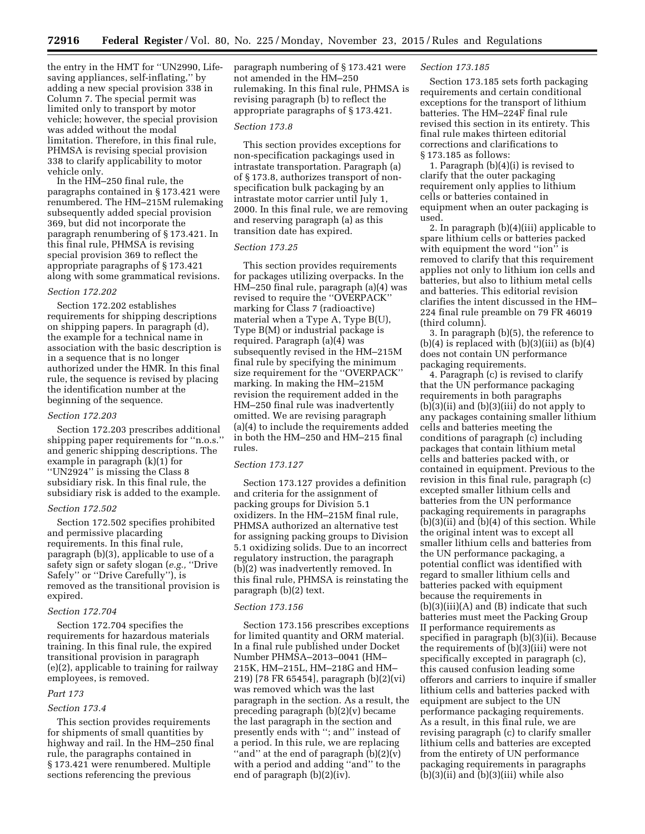the entry in the HMT for ''UN2990, Lifesaving appliances, self-inflating,'' by adding a new special provision 338 in Column 7. The special permit was limited only to transport by motor vehicle; however, the special provision was added without the modal limitation. Therefore, in this final rule, PHMSA is revising special provision 338 to clarify applicability to motor vehicle only.

In the HM–250 final rule, the paragraphs contained in § 173.421 were renumbered. The HM–215M rulemaking subsequently added special provision 369, but did not incorporate the paragraph renumbering of § 173.421. In this final rule, PHMSA is revising special provision 369 to reflect the appropriate paragraphs of § 173.421 along with some grammatical revisions.

### *Section 172.202*

Section 172.202 establishes requirements for shipping descriptions on shipping papers. In paragraph (d), the example for a technical name in association with the basic description is in a sequence that is no longer authorized under the HMR. In this final rule, the sequence is revised by placing the identification number at the beginning of the sequence.

#### *Section 172.203*

Section 172.203 prescribes additional shipping paper requirements for ''n.o.s.'' and generic shipping descriptions. The example in paragraph (k)(1) for ''UN2924'' is missing the Class 8 subsidiary risk. In this final rule, the subsidiary risk is added to the example.

### *Section 172.502*

Section 172.502 specifies prohibited and permissive placarding requirements. In this final rule, paragraph (b)(3), applicable to use of a safety sign or safety slogan (*e.g.,* ''Drive Safely'' or ''Drive Carefully''), is removed as the transitional provision is expired.

### *Section 172.704*

Section 172.704 specifies the requirements for hazardous materials training. In this final rule, the expired transitional provision in paragraph (e)(2), applicable to training for railway employees, is removed.

## *Part 173*

## *Section 173.4*

This section provides requirements for shipments of small quantities by highway and rail. In the HM–250 final rule, the paragraphs contained in § 173.421 were renumbered. Multiple sections referencing the previous

paragraph numbering of § 173.421 were not amended in the HM–250 rulemaking. In this final rule, PHMSA is revising paragraph (b) to reflect the appropriate paragraphs of § 173.421.

### *Section 173.8*

This section provides exceptions for non-specification packagings used in intrastate transportation. Paragraph (a) of § 173.8, authorizes transport of nonspecification bulk packaging by an intrastate motor carrier until July 1, 2000. In this final rule, we are removing and reserving paragraph (a) as this transition date has expired.

### *Section 173.25*

This section provides requirements for packages utilizing overpacks. In the HM–250 final rule, paragraph (a)(4) was revised to require the ''OVERPACK'' marking for Class 7 (radioactive) material when a Type A, Type B(U), Type B(M) or industrial package is required. Paragraph (a)(4) was subsequently revised in the HM–215M final rule by specifying the minimum size requirement for the ''OVERPACK'' marking. In making the HM–215M revision the requirement added in the HM–250 final rule was inadvertently omitted. We are revising paragraph (a)(4) to include the requirements added in both the HM–250 and HM–215 final rules.

### *Section 173.127*

Section 173.127 provides a definition and criteria for the assignment of packing groups for Division 5.1 oxidizers. In the HM–215M final rule, PHMSA authorized an alternative test for assigning packing groups to Division 5.1 oxidizing solids. Due to an incorrect regulatory instruction, the paragraph (b)(2) was inadvertently removed. In this final rule, PHMSA is reinstating the paragraph (b)(2) text.

#### *Section 173.156*

Section 173.156 prescribes exceptions for limited quantity and ORM material. In a final rule published under Docket Number PHMSA–2013–0041 (HM– 215K, HM–215L, HM–218G and HM– 219) [78 FR 65454], paragraph (b)(2)(vi) was removed which was the last paragraph in the section. As a result, the preceding paragraph (b)(2)(v) became the last paragraph in the section and presently ends with ''; and'' instead of a period. In this rule, we are replacing ''and'' at the end of paragraph (b)(2)(v) with a period and adding ''and'' to the end of paragraph (b)(2)(iv).

### *Section 173.185*

Section 173.185 sets forth packaging requirements and certain conditional exceptions for the transport of lithium batteries. The HM–224F final rule revised this section in its entirety. This final rule makes thirteen editorial corrections and clarifications to § 173.185 as follows:

1. Paragraph (b)(4)(i) is revised to clarify that the outer packaging requirement only applies to lithium cells or batteries contained in equipment when an outer packaging is used.

2. In paragraph (b)(4)(iii) applicable to spare lithium cells or batteries packed with equipment the word "ion" is removed to clarify that this requirement applies not only to lithium ion cells and batteries, but also to lithium metal cells and batteries. This editorial revision clarifies the intent discussed in the HM– 224 final rule preamble on 79 FR 46019 (third column).

3. In paragraph (b)(5), the reference to  $(b)(4)$  is replaced with  $(b)(3)(iii)$  as  $(b)(4)$ does not contain UN performance packaging requirements.

4. Paragraph (c) is revised to clarify that the UN performance packaging requirements in both paragraphs  $(b)(3)(ii)$  and  $(b)(3)(iii)$  do not apply to any packages containing smaller lithium cells and batteries meeting the conditions of paragraph (c) including packages that contain lithium metal cells and batteries packed with, or contained in equipment. Previous to the revision in this final rule, paragraph (c) excepted smaller lithium cells and batteries from the UN performance packaging requirements in paragraphs (b)(3)(ii) and (b)(4) of this section. While the original intent was to except all smaller lithium cells and batteries from the UN performance packaging, a potential conflict was identified with regard to smaller lithium cells and batteries packed with equipment because the requirements in (b)(3)(iii)(A) and (B) indicate that such batteries must meet the Packing Group II performance requirements as specified in paragraph (b)(3)(ii). Because the requirements of (b)(3)(iii) were not specifically excepted in paragraph (c), this caused confusion leading some offerors and carriers to inquire if smaller lithium cells and batteries packed with equipment are subject to the UN performance packaging requirements. As a result, in this final rule, we are revising paragraph (c) to clarify smaller lithium cells and batteries are excepted from the entirety of UN performance packaging requirements in paragraphs  $(b)(3)(ii)$  and  $(b)(3)(iii)$  while also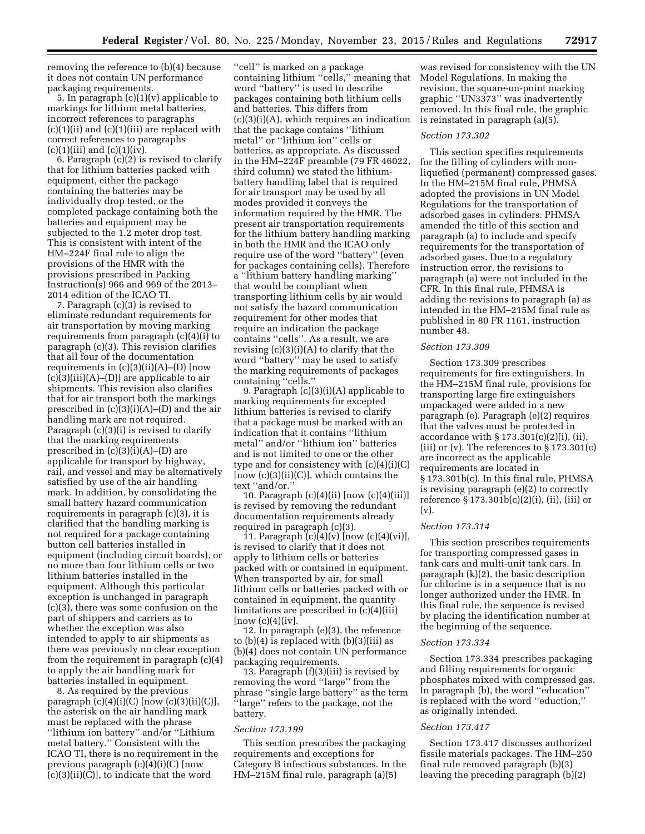removing the reference to (b)(4) because it does not contain UN performance packaging requirements.

5. In paragraph (c)(1)(v) applicable to markings for lithium metal batteries, incorrect references to paragraphs (c)(1)(ii) and (c)(1)(iii) are replaced with correct references to paragraphs  $(c)(1)(iii)$  and  $(c)(1)(iv)$ .

6. Paragraph (c)(2) is revised to clarify that for lithium batteries packed with equipment, either the package containing the batteries may be individually drop tested, or the completed package containing both the batteries and equipment may be subjected to the 1.2 meter drop test. This is consistent with intent of the HM–224F final rule to align the provisions of the HMR with the provisions prescribed in Packing Instruction(s) 966 and 969 of the 2013– 2014 edition of the ICAO TI.

7. Paragraph (c)(3) is revised to eliminate redundant requirements for air transportation by moving marking requirements from paragraph (c)(4)(i) to paragraph (c)(3). This revision clarifies that all four of the documentation requirements in  $(c)(3)(ii)(A)$ – $(D)$  [now  $(c)(3)(iii)(A)$ – $(D)$ ] are applicable to air shipments. This revision also clarifies that for air transport both the markings prescribed in  $(c)(3)(i)(A)$ –(D) and the air handling mark are not required. Paragraph (c)(3)(i) is revised to clarify that the marking requirements prescribed in (c)(3)(i)(A)–(D) are applicable for transport by highway, rail, and vessel and may be alternatively satisfied by use of the air handling mark. In addition, by consolidating the small battery hazard communication requirements in paragraph (c)(3), it is clarified that the handling marking is not required for a package containing button cell batteries installed in equipment (including circuit boards), or no more than four lithium cells or two lithium batteries installed in the equipment. Although this particular exception is unchanged in paragraph (c)(3), there was some confusion on the part of shippers and carriers as to whether the exception was also intended to apply to air shipments as there was previously no clear exception from the requirement in paragraph (c)(4) to apply the air handling mark for batteries installed in equipment.

8. As required by the previous paragraph  $(c)(4)(i)(C)$  [now  $(c)(3)(ii)(C)$ ], the asterisk on the air handling mark must be replaced with the phrase ''lithium ion battery'' and/or ''Lithium metal battery.'' Consistent with the ICAO TI, there is no requirement in the previous paragraph (c)(4)(i)(C) [now (c)(3)(ii)(C)], to indicate that the word

''cell'' is marked on a package containing lithium ''cells,'' meaning that word ''battery'' is used to describe packages containing both lithium cells and batteries. This differs from  $(c)(3)(i)(A)$ , which requires an indication that the package contains ''lithium metal" or "lithium ion" cells or batteries, as appropriate. As discussed in the HM–224F preamble (79 FR 46022, third column) we stated the lithiumbattery handling label that is required for air transport may be used by all modes provided it conveys the information required by the HMR. The present air transportation requirements for the lithium battery handling marking in both the HMR and the ICAO only require use of the word ''battery'' (even for packages containing cells). Therefore a ''lithium battery handling marking'' that would be compliant when transporting lithium cells by air would not satisfy the hazard communication requirement for other modes that require an indication the package contains ''cells''. As a result, we are revising (c)(3)(i)(A) to clarify that the word ''battery'' may be used to satisfy the marking requirements of packages containing ''cells.''

9. Paragraph (c)(3)(i)(A) applicable to marking requirements for excepted lithium batteries is revised to clarify that a package must be marked with an indication that it contains ''lithium metal'' and/or ''lithium ion'' batteries and is not limited to one or the other type and for consistency with (c)(4)(i)(C) [now (c)(3)(ii)(C)], which contains the text ''and/or.''

10. Paragraph (c)(4)(ii) [now (c)(4)(iii)] is revised by removing the redundant documentation requirements already required in paragraph (c)(3).

11. Paragraph  $(c)(4)(v)$  [now  $(c)(4)(vi)$ ], is revised to clarify that it does not apply to lithium cells or batteries packed with or contained in equipment. When transported by air, for small lithium cells or batteries packed with or contained in equipment, the quantity limitations are prescribed in (c)(4)(iii)  $[now (c)(4)(iv].$ 

12. In paragraph (e)(3), the reference to (b)(4) is replaced with (b)(3)(iii) as (b)(4) does not contain UN performance packaging requirements.

13. Paragraph (f)(3)(iii) is revised by removing the word ''large'' from the phrase ''single large battery'' as the term ''large'' refers to the package, not the battery.

#### *Section 173.199*

This section prescribes the packaging requirements and exceptions for Category B infectious substances. In the HM–215M final rule, paragraph (a)(5)

was revised for consistency with the UN Model Regulations. In making the revision, the square-on-point marking graphic ''UN3373'' was inadvertently removed. In this final rule, the graphic is reinstated in paragraph (a)(5).

#### *Section 173.302*

This section specifies requirements for the filling of cylinders with nonliquefied (permanent) compressed gases. In the HM–215M final rule, PHMSA adopted the provisions in UN Model Regulations for the transportation of adsorbed gases in cylinders. PHMSA amended the title of this section and paragraph (a) to include and specify requirements for the transportation of adsorbed gases. Due to a regulatory instruction error, the revisions to paragraph (a) were not included in the CFR. In this final rule, PHMSA is adding the revisions to paragraph (a) as intended in the HM–215M final rule as published in 80 FR 1161, instruction number 48.

### *Section 173.309*

Section 173.309 prescribes requirements for fire extinguishers. In the HM–215M final rule, provisions for transporting large fire extinguishers unpackaged were added in a new paragraph (e). Paragraph (e)(2) requires that the valves must be protected in accordance with  $\S 173.301(c)(2)(i)$ , (ii), (iii) or (v). The references to  $\S 173.301(c)$ are incorrect as the applicable requirements are located in § 173.301b(c). In this final rule, PHMSA is revising paragraph (e)(2) to correctly reference § 173.301b(c)(2)(i), (ii), (iii) or (v).

## *Section 173.314*

This section prescribes requirements for transporting compressed gases in tank cars and multi-unit tank cars. In paragraph (k)(2), the basic description for chlorine is in a sequence that is no longer authorized under the HMR. In this final rule, the sequence is revised by placing the identification number at the beginning of the sequence.

#### *Section 173.334*

Section 173.334 prescribes packaging and filling requirements for organic phosphates mixed with compressed gas. In paragraph (b), the word ''education'' is replaced with the word ''eduction,'' as originally intended.

#### *Section 173.417*

Section 173.417 discusses authorized fissile materials packages. The HM–250 final rule removed paragraph (b)(3) leaving the preceding paragraph (b)(2)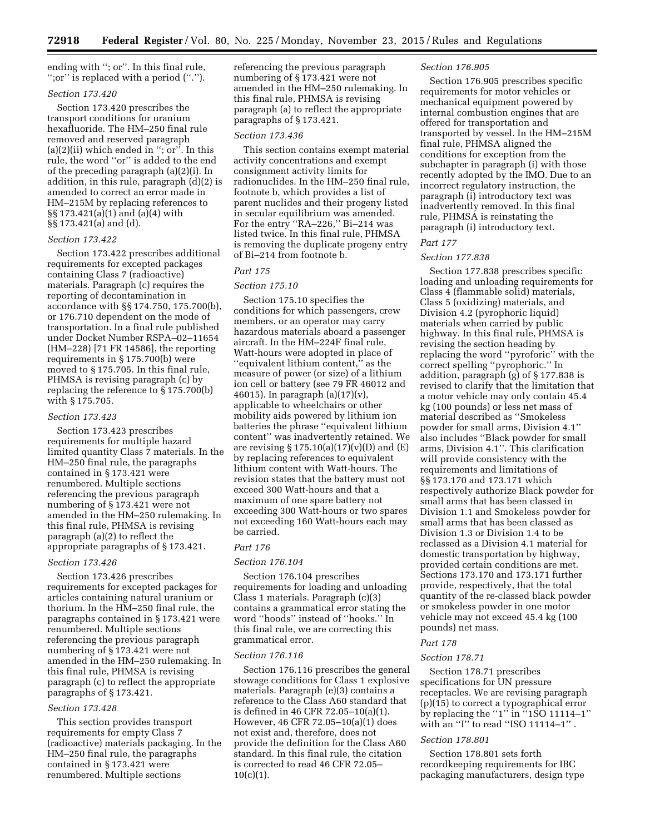ending with ''; or''. In this final rule, '';or'' is replaced with a period (''.'').

### *Section 173.420*

Section 173.420 prescribes the transport conditions for uranium hexafluoride. The HM–250 final rule removed and reserved paragraph  $(a)(2)(ii)$  which ended in "; or". In this rule, the word ''or'' is added to the end of the preceding paragraph (a)(2)(i). In addition, in this rule, paragraph (d)(2) is amended to correct an error made in HM–215M by replacing references to §§ 173.421(a)(1) and (a)(4) with §§ 173.421(a) and (d).

### *Section 173.422*

Section 173.422 prescribes additional requirements for excepted packages containing Class 7 (radioactive) materials. Paragraph (c) requires the reporting of decontamination in accordance with §§ 174.750, 175.700(b), or 176.710 dependent on the mode of transportation. In a final rule published under Docket Number RSPA–02–11654 (HM–228) [71 FR 14586], the reporting requirements in § 175.700(b) were moved to § 175.705. In this final rule, PHMSA is revising paragraph (c) by replacing the reference to § 175.700(b) with § 175.705.

## *Section 173.423*

Section 173.423 prescribes requirements for multiple hazard limited quantity Class 7 materials. In the HM–250 final rule, the paragraphs contained in § 173.421 were renumbered. Multiple sections referencing the previous paragraph numbering of § 173.421 were not amended in the HM–250 rulemaking. In this final rule, PHMSA is revising paragraph (a)(2) to reflect the appropriate paragraphs of § 173.421.

## *Section 173.426*

Section 173.426 prescribes requirements for excepted packages for articles containing natural uranium or thorium. In the HM–250 final rule, the paragraphs contained in § 173.421 were renumbered. Multiple sections referencing the previous paragraph numbering of § 173.421 were not amended in the HM–250 rulemaking. In this final rule, PHMSA is revising paragraph (c) to reflect the appropriate paragraphs of § 173.421.

### *Section 173.428*

This section provides transport requirements for empty Class 7 (radioactive) materials packaging. In the HM–250 final rule, the paragraphs contained in § 173.421 were renumbered. Multiple sections

referencing the previous paragraph numbering of § 173.421 were not amended in the HM–250 rulemaking. In this final rule, PHMSA is revising paragraph (a) to reflect the appropriate paragraphs of § 173.421.

#### *Section 173.436*

This section contains exempt material activity concentrations and exempt consignment activity limits for radionuclides. In the HM–250 final rule, footnote b, which provides a list of parent nuclides and their progeny listed in secular equilibrium was amended. For the entry ''RA–226,'' Bi–214 was listed twice. In this final rule, PHMSA is removing the duplicate progeny entry of Bi–214 from footnote b.

### *Part 175*

### *Section 175.10*

Section 175.10 specifies the conditions for which passengers, crew members, or an operator may carry hazardous materials aboard a passenger aircraft. In the HM–224F final rule, Watt-hours were adopted in place of ''equivalent lithium content,'' as the measure of power (or size) of a lithium ion cell or battery (see 79 FR 46012 and 46015). In paragraph (a)(17)(v), applicable to wheelchairs or other mobility aids powered by lithium ion batteries the phrase ''equivalent lithium content'' was inadvertently retained. We are revising  $\S 175.10(a)(17)(v)(D)$  and  $(E)$ by replacing references to equivalent lithium content with Watt-hours. The revision states that the battery must not exceed 300 Watt-hours and that a maximum of one spare battery not exceeding 300 Watt-hours or two spares not exceeding 160 Watt-hours each may be carried.

### *Part 176*

### *Section 176.104*

Section 176.104 prescribes requirements for loading and unloading Class 1 materials. Paragraph (c)(3) contains a grammatical error stating the word ''hoods'' instead of ''hooks.'' In this final rule, we are correcting this grammatical error.

### *Section 176.116*

Section 176.116 prescribes the general stowage conditions for Class 1 explosive materials. Paragraph (e)(3) contains a reference to the Class A60 standard that is defined in 46 CFR 72.05–10(a)(1). However, 46 CFR 72.05–10(a)(1) does not exist and, therefore, does not provide the definition for the Class A60 standard. In this final rule, the citation is corrected to read 46 CFR 72.05–  $10(c)(1)$ .

#### *Section 176.905*

Section 176.905 prescribes specific requirements for motor vehicles or mechanical equipment powered by internal combustion engines that are offered for transportation and transported by vessel. In the HM–215M final rule, PHMSA aligned the conditions for exception from the subchapter in paragraph (i) with those recently adopted by the IMO. Due to an incorrect regulatory instruction, the paragraph (i) introductory text was inadvertently removed. In this final rule, PHMSA is reinstating the paragraph (i) introductory text.

#### *Part 177*

#### *Section 177.838*

Section 177.838 prescribes specific loading and unloading requirements for Class 4 (flammable solid) materials, Class 5 (oxidizing) materials, and Division 4.2 (pyrophoric liquid) materials when carried by public highway. In this final rule, PHMSA is revising the section heading by replacing the word ''pyroforic'' with the correct spelling ''pyrophoric.'' In addition, paragraph (g) of § 177.838 is revised to clarify that the limitation that a motor vehicle may only contain 45.4 kg (100 pounds) or less net mass of material described as ''Smokeless powder for small arms, Division 4.1'' also includes ''Black powder for small arms, Division 4.1''. This clarification will provide consistency with the requirements and limitations of §§ 173.170 and 173.171 which respectively authorize Black powder for small arms that has been classed in Division 1.1 and Smokeless powder for small arms that has been classed as Division 1.3 or Division 1.4 to be reclassed as a Division 4.1 material for domestic transportation by highway, provided certain conditions are met. Sections 173.170 and 173.171 further provide, respectively, that the total quantity of the re-classed black powder or smokeless powder in one motor vehicle may not exceed 45.4 kg (100 pounds) net mass.

# *Part 178*

## *Section 178.71*

Section 178.71 prescribes specifications for UN pressure receptacles. We are revising paragraph (p)(15) to correct a typographical error by replacing the "1" in  $\cdot$ 1SO 11114–1" with an "I" to read "ISO 11114-1".

#### *Section 178.801*

Section 178.801 sets forth recordkeeping requirements for IBC packaging manufacturers, design type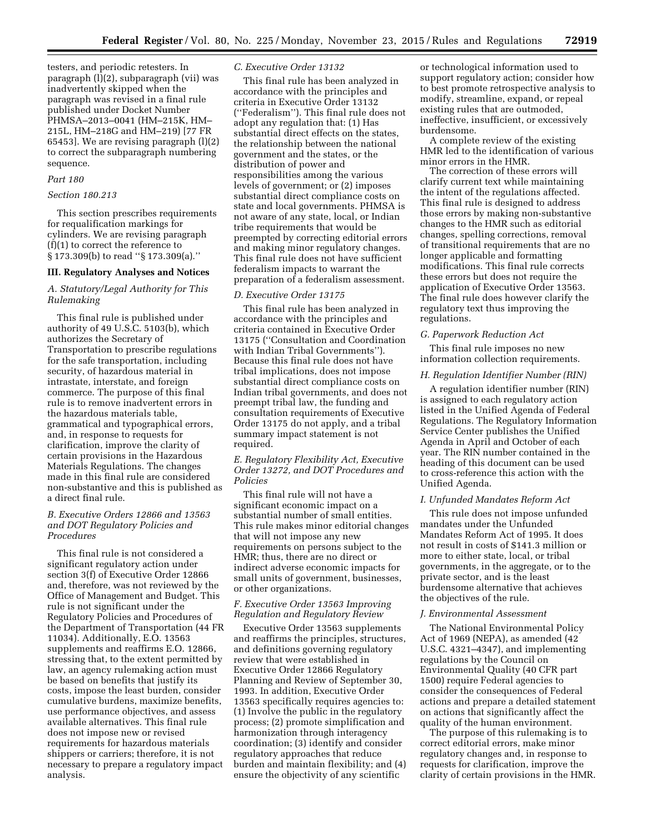testers, and periodic retesters. In paragraph (l)(2), subparagraph (vii) was inadvertently skipped when the paragraph was revised in a final rule published under Docket Number PHMSA–2013–0041 (HM–215K, HM– 215L, HM–218G and HM–219) [77 FR 65453]. We are revising paragraph (l)(2) to correct the subparagraph numbering sequence.

#### *Part 180*

### *Section 180.213*

This section prescribes requirements for requalification markings for cylinders. We are revising paragraph (f)(1) to correct the reference to § 173.309(b) to read ''§ 173.309(a).''

## **III. Regulatory Analyses and Notices**

## *A. Statutory/Legal Authority for This Rulemaking*

This final rule is published under authority of 49 U.S.C. 5103(b), which authorizes the Secretary of Transportation to prescribe regulations for the safe transportation, including security, of hazardous material in intrastate, interstate, and foreign commerce. The purpose of this final rule is to remove inadvertent errors in the hazardous materials table, grammatical and typographical errors, and, in response to requests for clarification, improve the clarity of certain provisions in the Hazardous Materials Regulations. The changes made in this final rule are considered non-substantive and this is published as a direct final rule.

## *B. Executive Orders 12866 and 13563 and DOT Regulatory Policies and Procedures*

This final rule is not considered a significant regulatory action under section 3(f) of Executive Order 12866 and, therefore, was not reviewed by the Office of Management and Budget. This rule is not significant under the Regulatory Policies and Procedures of the Department of Transportation (44 FR 11034). Additionally, E.O. 13563 supplements and reaffirms E.O. 12866, stressing that, to the extent permitted by law, an agency rulemaking action must be based on benefits that justify its costs, impose the least burden, consider cumulative burdens, maximize benefits, use performance objectives, and assess available alternatives. This final rule does not impose new or revised requirements for hazardous materials shippers or carriers; therefore, it is not necessary to prepare a regulatory impact analysis.

## *C. Executive Order 13132*

This final rule has been analyzed in accordance with the principles and criteria in Executive Order 13132 (''Federalism''). This final rule does not adopt any regulation that: (1) Has substantial direct effects on the states, the relationship between the national government and the states, or the distribution of power and responsibilities among the various levels of government; or (2) imposes substantial direct compliance costs on state and local governments. PHMSA is not aware of any state, local, or Indian tribe requirements that would be preempted by correcting editorial errors and making minor regulatory changes. This final rule does not have sufficient federalism impacts to warrant the preparation of a federalism assessment.

#### *D. Executive Order 13175*

This final rule has been analyzed in accordance with the principles and criteria contained in Executive Order 13175 (''Consultation and Coordination with Indian Tribal Governments''). Because this final rule does not have tribal implications, does not impose substantial direct compliance costs on Indian tribal governments, and does not preempt tribal law, the funding and consultation requirements of Executive Order 13175 do not apply, and a tribal summary impact statement is not required.

## *E. Regulatory Flexibility Act, Executive Order 13272, and DOT Procedures and Policies*

This final rule will not have a significant economic impact on a substantial number of small entities. This rule makes minor editorial changes that will not impose any new requirements on persons subject to the HMR; thus, there are no direct or indirect adverse economic impacts for small units of government, businesses, or other organizations.

## *F. Executive Order 13563 Improving Regulation and Regulatory Review*

Executive Order 13563 supplements and reaffirms the principles, structures, and definitions governing regulatory review that were established in Executive Order 12866 Regulatory Planning and Review of September 30, 1993. In addition, Executive Order 13563 specifically requires agencies to: (1) Involve the public in the regulatory process; (2) promote simplification and harmonization through interagency coordination; (3) identify and consider regulatory approaches that reduce burden and maintain flexibility; and (4) ensure the objectivity of any scientific

or technological information used to support regulatory action; consider how to best promote retrospective analysis to modify, streamline, expand, or repeal existing rules that are outmoded, ineffective, insufficient, or excessively burdensome.

A complete review of the existing HMR led to the identification of various minor errors in the HMR.

The correction of these errors will clarify current text while maintaining the intent of the regulations affected. This final rule is designed to address those errors by making non-substantive changes to the HMR such as editorial changes, spelling corrections, removal of transitional requirements that are no longer applicable and formatting modifications. This final rule corrects these errors but does not require the application of Executive Order 13563. The final rule does however clarify the regulatory text thus improving the regulations.

#### *G. Paperwork Reduction Act*

This final rule imposes no new information collection requirements.

### *H. Regulation Identifier Number (RIN)*

A regulation identifier number (RIN) is assigned to each regulatory action listed in the Unified Agenda of Federal Regulations. The Regulatory Information Service Center publishes the Unified Agenda in April and October of each year. The RIN number contained in the heading of this document can be used to cross-reference this action with the Unified Agenda.

#### *I. Unfunded Mandates Reform Act*

This rule does not impose unfunded mandates under the Unfunded Mandates Reform Act of 1995. It does not result in costs of \$141.3 million or more to either state, local, or tribal governments, in the aggregate, or to the private sector, and is the least burdensome alternative that achieves the objectives of the rule.

### *J. Environmental Assessment*

The National Environmental Policy Act of 1969 (NEPA), as amended (42 U.S.C. 4321–4347), and implementing regulations by the Council on Environmental Quality (40 CFR part 1500) require Federal agencies to consider the consequences of Federal actions and prepare a detailed statement on actions that significantly affect the quality of the human environment.

The purpose of this rulemaking is to correct editorial errors, make minor regulatory changes and, in response to requests for clarification, improve the clarity of certain provisions in the HMR.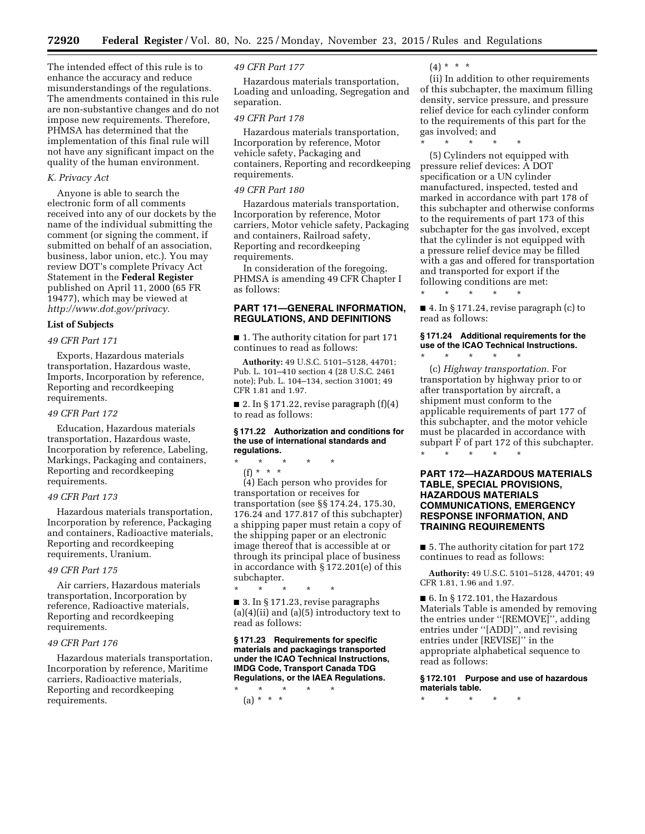The intended effect of this rule is to enhance the accuracy and reduce misunderstandings of the regulations. The amendments contained in this rule are non-substantive changes and do not impose new requirements. Therefore, PHMSA has determined that the implementation of this final rule will not have any significant impact on the quality of the human environment.

### *K. Privacy Act*

Anyone is able to search the electronic form of all comments received into any of our dockets by the name of the individual submitting the comment (or signing the comment, if submitted on behalf of an association, business, labor union, etc.). You may review DOT's complete Privacy Act Statement in the **Federal Register**  published on April 11, 2000 (65 FR 19477), which may be viewed at *[http://www.dot.gov/privacy.](http://www.dot.gov/privacy)* 

### **List of Subjects**

## *49 CFR Part 171*

Exports, Hazardous materials transportation, Hazardous waste, Imports, Incorporation by reference, Reporting and recordkeeping requirements.

#### *49 CFR Part 172*

Education, Hazardous materials transportation, Hazardous waste, Incorporation by reference, Labeling, Markings, Packaging and containers, Reporting and recordkeeping requirements.

#### *49 CFR Part 173*

Hazardous materials transportation, Incorporation by reference, Packaging and containers, Radioactive materials, Reporting and recordkeeping requirements, Uranium.

#### *49 CFR Part 175*

Air carriers, Hazardous materials transportation, Incorporation by reference, Radioactive materials, Reporting and recordkeeping requirements.

## *49 CFR Part 176*

Hazardous materials transportation, Incorporation by reference, Maritime carriers, Radioactive materials, Reporting and recordkeeping requirements.

#### *49 CFR Part 177*

Hazardous materials transportation, Loading and unloading, Segregation and separation.

#### *49 CFR Part 178*

Hazardous materials transportation, Incorporation by reference, Motor vehicle safety, Packaging and containers, Reporting and recordkeeping requirements.

### *49 CFR Part 180*

Hazardous materials transportation, Incorporation by reference, Motor carriers, Motor vehicle safety, Packaging and containers, Railroad safety, Reporting and recordkeeping requirements.

In consideration of the foregoing, PHMSA is amending 49 CFR Chapter I as follows:

# **PART 171—GENERAL INFORMATION, REGULATIONS, AND DEFINITIONS**

■ 1. The authority citation for part 171 continues to read as follows:

**Authority:** 49 U.S.C. 5101–5128, 44701; Pub. L. 101–410 section 4 (28 U.S.C. 2461 note); Pub. L. 104–134, section 31001; 49 CFR 1.81 and 1.97.

■ 2. In § 171.22, revise paragraph  $(f)(4)$ to read as follows:

#### **§ 171.22 Authorization and conditions for the use of international standards and regulations.**

\* \* \* \* \*

(f) \* \* \* (4) Each person who provides for transportation or receives for transportation (see §§ 174.24, 175.30, 176.24 and 177.817 of this subchapter) a shipping paper must retain a copy of the shipping paper or an electronic image thereof that is accessible at or through its principal place of business in accordance with § 172.201(e) of this subchapter. \* \* \* \* \*

■ 3. In § 171.23, revise paragraphs  $(a)(4)(ii)$  and  $(a)(5)$  introductory text to read as follows:

**§ 171.23 Requirements for specific materials and packagings transported under the ICAO Technical Instructions, IMDG Code, Transport Canada TDG Regulations, or the IAEA Regulations.** 

\* \* \* \* \*

(a) \* \* \*

 $(4) * * * *$ 

\* \* \* \* \*

(ii) In addition to other requirements of this subchapter, the maximum filling density, service pressure, and pressure relief device for each cylinder conform to the requirements of this part for the gas involved; and

(5) Cylinders not equipped with pressure relief devices: A DOT specification or a UN cylinder manufactured, inspected, tested and marked in accordance with part 178 of this subchapter and otherwise conforms to the requirements of part 173 of this subchapter for the gas involved, except that the cylinder is not equipped with a pressure relief device may be filled with a gas and offered for transportation and transported for export if the following conditions are met:

\* \* \* \* \* ■ 4. In § 171.24, revise paragraph (c) to read as follows:

### **§ 171.24 Additional requirements for the use of the ICAO Technical Instructions.**

\* \* \* \* \* (c) *Highway transportation.* For transportation by highway prior to or after transportation by aircraft, a shipment must conform to the applicable requirements of part 177 of this subchapter, and the motor vehicle must be placarded in accordance with subpart F of part 172 of this subchapter. \* \* \* \* \*

## **PART 172—HAZARDOUS MATERIALS TABLE, SPECIAL PROVISIONS, HAZARDOUS MATERIALS COMMUNICATIONS, EMERGENCY RESPONSE INFORMATION, AND TRAINING REQUIREMENTS**

■ 5. The authority citation for part 172 continues to read as follows:

**Authority:** 49 U.S.C. 5101–5128, 44701; 49 CFR 1.81, 1.96 and 1.97.

 $\blacksquare$  6. In § 172.101, the Hazardous Materials Table is amended by removing the entries under ''[REMOVE]'', adding entries under ''[ADD]'', and revising entries under [REVISE]'' in the appropriate alphabetical sequence to read as follows:

**§ 172.101 Purpose and use of hazardous materials table.** 

\* \* \* \* \*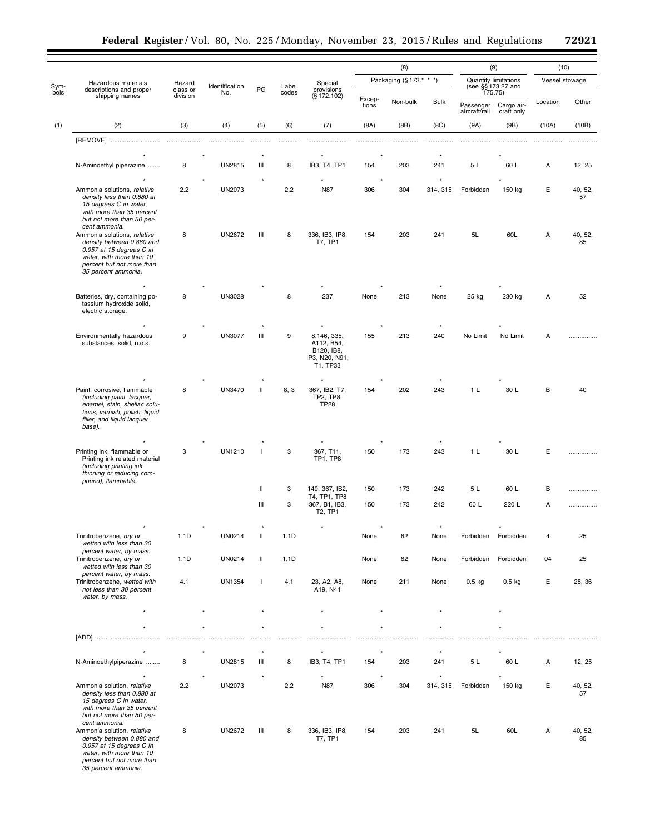|              |                                                                                                                                                                      |                    |                       |                          |                |                                                                       | (8)                     |          |                           | (9)                                                   |                            | (10)<br>Vessel stowage |               |
|--------------|----------------------------------------------------------------------------------------------------------------------------------------------------------------------|--------------------|-----------------------|--------------------------|----------------|-----------------------------------------------------------------------|-------------------------|----------|---------------------------|-------------------------------------------------------|----------------------------|------------------------|---------------|
| Sym-<br>bols | Hazardous materials<br>descriptions and proper<br>shipping names                                                                                                     | Hazard<br>class or | Identification<br>No. | PG                       | Label<br>codes | Special<br>provisions<br>$(S$ 172.102)                                | Packaging (§ 173.* * *) |          |                           | Quantity limitations<br>(see §§ 173.27 and<br>175.75) |                            |                        |               |
|              |                                                                                                                                                                      | division           |                       |                          |                |                                                                       | Excep-<br>tions         | Non-bulk | <b>Bulk</b>               | Passenger<br>aircraft/rail                            | Cargo air-<br>craft only   | Location               | Other         |
| (1)          | (2)                                                                                                                                                                  | (3)                | (4)                   | (5)                      | (6)            | (7)                                                                   | (8A)                    | (BB)     | (8C)                      | (9A)                                                  | (9B)                       | (10A)                  | (10B)         |
|              | [REMOVE]                                                                                                                                                             | .                  | .                     |                          |                |                                                                       |                         |          |                           |                                                       |                            |                        |               |
|              |                                                                                                                                                                      |                    |                       |                          |                |                                                                       |                         |          |                           |                                                       |                            |                        |               |
|              | N-Aminoethyl piperazine                                                                                                                                              | 8                  | UN2815                | Ш                        | 8              | IB3, T4, TP1                                                          | 154                     | 203      | 241                       | 5L                                                    | 60 L                       | Α                      | 12, 25        |
|              | Ammonia solutions, relative<br>density less than 0.880 at<br>15 degrees C in water,<br>with more than 35 percent<br>but not more than 50 per-<br>cent ammonia.       | 2.2                | UN2073                |                          | 2.2            | N87                                                                   | 306                     | 304      | 314, 315                  | Forbidden                                             | 150 kg                     | Е                      | 40, 52,<br>57 |
|              | Ammonia solutions, relative<br>density between 0.880 and<br>0.957 at 15 degrees C in<br>water, with more than 10<br>percent but not more than<br>35 percent ammonia. | 8                  | <b>UN2672</b>         | Ш                        | 8              | 336, IB3, IP8,<br><b>T7, TP1</b>                                      | 154                     | 203      | 241                       | 5L                                                    | 60L                        | Α                      | 40, 52,<br>85 |
|              |                                                                                                                                                                      |                    | <b>UN3028</b>         |                          |                | 237                                                                   |                         |          |                           |                                                       |                            |                        |               |
|              | Batteries, dry, containing po-<br>tassium hydroxide solid,<br>electric storage.                                                                                      | 8                  |                       |                          | 8              |                                                                       | None                    | 213      | None                      | 25 kg                                                 | 230 kg                     | А                      | 52            |
|              |                                                                                                                                                                      |                    |                       | Ш                        |                |                                                                       |                         |          |                           |                                                       |                            |                        |               |
|              | Environmentally hazardous<br>substances, solid, n.o.s.                                                                                                               | 9                  | <b>UN3077</b>         |                          | 9              | 8,146, 335,<br>A112, B54,<br>B120, IB8,<br>IP3, N20, N91,<br>T1, TP33 | 155                     | 213      | 240                       | No Limit                                              | No Limit                   | A                      |               |
|              |                                                                                                                                                                      |                    |                       |                          |                | $\star$                                                               |                         |          |                           |                                                       |                            |                        |               |
|              | Paint, corrosive, flammable<br>(including paint, lacquer,<br>enamel, stain, shellac solu-<br>tions, varnish, polish, liquid<br>filler, and liquid lacquer<br>base).  | 8                  | <b>UN3470</b>         | Ш                        | 8, 3           | 367, IB2, T7,<br>TP2, TP8,<br><b>TP28</b>                             | 154                     | 202      | 243                       | 1 <sub>L</sub>                                        | 30 L                       | В                      | 40            |
|              |                                                                                                                                                                      |                    |                       |                          |                |                                                                       |                         |          |                           |                                                       |                            |                        |               |
|              | Printing ink, flammable or<br>Printing ink related material<br>(including printing ink<br>thinning or reducing com-<br>pound), flammable.                            | 3                  | <b>UN1210</b>         | $\overline{\phantom{a}}$ | 3              | 367, T11,<br>TP1, TP8                                                 | 150                     | 173      | 243                       | 1 <sub>L</sub>                                        | 30 L                       | Е                      |               |
|              |                                                                                                                                                                      |                    |                       | $\mathbf{H}$             | 3              | 149, 367, IB2,                                                        | 150                     | 173      | 242                       | 5 L                                                   | 60 L                       | B                      |               |
|              |                                                                                                                                                                      |                    |                       | Ш                        | 3              | T4, TP1, TP8<br>367, B1, IB3,<br>T <sub>2</sub> , TP <sub>1</sub>     | 150                     | 173      | 242                       | 60 L                                                  | 220 L                      | A                      | .             |
|              |                                                                                                                                                                      |                    |                       |                          |                |                                                                       |                         |          |                           |                                                       |                            |                        |               |
|              | Trinitrobenzene, dry or<br>wetted with less than 30<br>percent water, by mass.                                                                                       | 1.1D               | UN0214                | Ш                        | 1.1D           |                                                                       | None                    | 62       | None                      | Forbidden                                             | Forbidden                  | 4                      | 25            |
|              | Trinitrobenzene, dry or<br>wetted with less than 30<br>percent water, by mass.                                                                                       | 1.1D               | UN0214                | Ш                        | 1.1D           |                                                                       | None                    | 62       | None                      | Forbidden                                             | Forbidden                  | 04                     | 25            |
|              | Trinitrobenzene, wetted with<br>not less than 30 percent<br>water, by mass.                                                                                          | 4.1                | <b>UN1354</b>         | $\mathbf{I}$             | 4.1            | 23, A2, A8,<br>A19, N41                                               | None                    | 211      | None                      | $0.5$ kg                                              | $0.5$ kg                   | Е                      | 28, 36        |
|              | $\star$                                                                                                                                                              |                    |                       |                          |                |                                                                       |                         |          |                           |                                                       |                            |                        |               |
|              |                                                                                                                                                                      |                    |                       |                          |                |                                                                       |                         |          |                           |                                                       |                            |                        |               |
|              |                                                                                                                                                                      |                    |                       |                          |                |                                                                       |                         |          | .                         |                                                       |                            |                        |               |
|              | N-Aminoethylpiperazine<br>$\star$                                                                                                                                    | 8                  | UN2815<br>$\star$     | $\star$<br>Ш<br>$\star$  | 8              | IB3, T4, TP1<br>$\star$                                               | 154<br>$\star$          | 203      | $\star$<br>241<br>$\star$ | 5L                                                    | $\star$<br>60 L<br>$\star$ | Α                      | 12, 25        |
|              | Ammonia solution, relative<br>density less than 0.880 at<br>15 degrees C in water,<br>with more than 35 percent<br>but not more than 50 per-<br>cent ammonia.        | 2.2                | <b>UN2073</b>         |                          | 2.2            | <b>N87</b>                                                            | 306                     | 304      | 314, 315                  | Forbidden                                             | 150 kg                     | Ε                      | 40, 52,<br>57 |
|              | Ammonia solution, relative<br>density between 0.880 and<br>0.957 at 15 degrees C in<br>water, with more than 10<br>percent but not more than<br>35 percent ammonia.  | 8                  | <b>UN2672</b>         | Ш                        | 8              | 336, IB3, IP8,<br><b>T7, TP1</b>                                      | 154                     | 203      | 241                       | 5L                                                    | 60L                        | Α                      | 40, 52,<br>85 |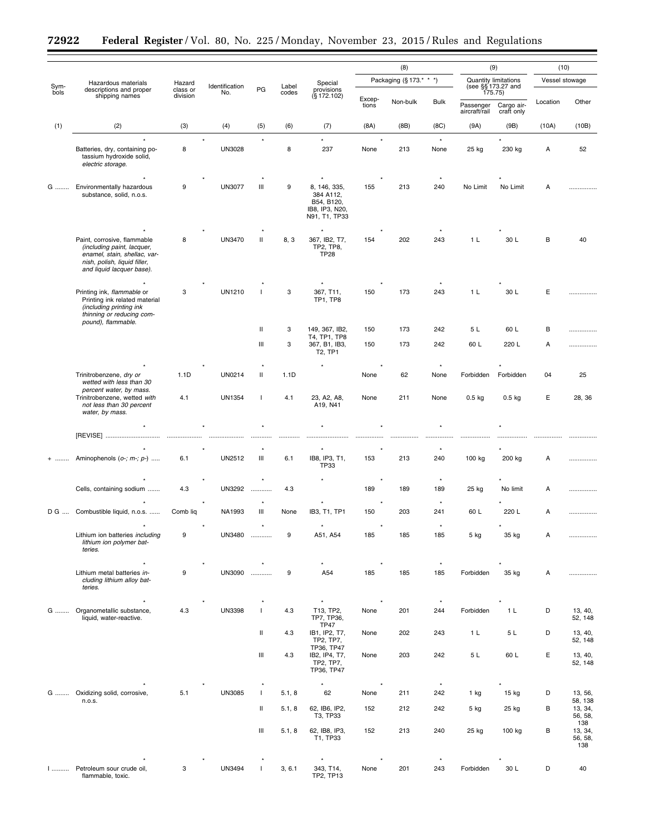÷.

 $\equiv$ 

|              |                                                                                                                                                        |                                |                       |              |                |                                                                            | (8)                     |          |                 | (9)                                                   |                          | (10)<br>Vessel stowage |                                  |
|--------------|--------------------------------------------------------------------------------------------------------------------------------------------------------|--------------------------------|-----------------------|--------------|----------------|----------------------------------------------------------------------------|-------------------------|----------|-----------------|-------------------------------------------------------|--------------------------|------------------------|----------------------------------|
| Sym-<br>bols | Hazardous materials<br>descriptions and proper<br>shipping names                                                                                       | Hazard<br>class or<br>division | Identification<br>No. | PG           | Label<br>codes | Special<br>provisions<br>$(S$ 172.102)                                     | Packaging (§ 173.* * *) |          |                 | Quantity limitations<br>(see §§ 173.27 and<br>175.75) |                          |                        |                                  |
|              |                                                                                                                                                        |                                |                       |              |                |                                                                            | Excep-<br>tions         | Non-bulk | <b>Bulk</b>     | Passenger<br>aircraft/rail                            | Cargo air-<br>craft only | Location               | Other                            |
| (1)          | (2)                                                                                                                                                    | (3)                            | (4)                   | (5)          | (6)            | (7)                                                                        | (8A)                    | (BB)     | (8C)            | (9A)                                                  | (9B)                     | (10A)                  | (10B)                            |
|              | Batteries, dry, containing po-<br>tassium hydroxide solid,<br>electric storage.                                                                        | 8                              | <b>UN3028</b>         |              | 8              | 237                                                                        | None                    | 213      | $\star$<br>None | 25 kg                                                 | 230 kg                   | А                      | 52                               |
| G            | Environmentally hazardous<br>substance, solid, n.o.s.                                                                                                  | 9                              | <b>UN3077</b>         | Ш            | 9              | 8, 146, 335,<br>384 A112,<br>B54, B120,<br>IB8, IP3, N20,<br>N91, T1, TP33 | 155                     | 213      | 240             | No Limit                                              | No Limit                 | А                      |                                  |
|              | Paint, corrosive, flammable<br>(including paint, lacquer,<br>enamel, stain, shellac, var-<br>nish, polish, liquid filler,<br>and liquid lacquer base). | 8                              | UN3470                | $\mathbf{H}$ | 8, 3           | $\star$<br>367, IB2, T7,<br>TP2, TP8,<br><b>TP28</b>                       | 154                     | 202      | 243             | 1 <sub>L</sub>                                        | 30 L                     | B                      | 40                               |
|              | Printing ink, flammable or<br>Printing ink related material<br>(including printing ink<br>thinning or reducing com-<br>pound), flammable.              | 3                              | <b>UN1210</b>         |              | 3              | 367, T11,<br><b>TP1, TP8</b>                                               | 150                     | 173      | 243             | 1 <sub>L</sub>                                        | 30 L                     | Ε                      |                                  |
|              |                                                                                                                                                        |                                |                       | Ш            | 3              | 149, 367, IB2,<br>T4. TP1. TP8                                             | 150                     | 173      | 242             | 5 L                                                   | 60 L                     | в                      |                                  |
|              |                                                                                                                                                        |                                |                       | Ш            | 3              | 367, B1, IB3,<br>T2, TP1                                                   | 150                     | 173      | 242             | 60 L                                                  | 220 L                    | А                      | .                                |
|              | Trinitrobenzene, dry or<br>wetted with less than 30                                                                                                    | 1.1D                           | UN0214                | Ш            | 1.1D           | $\star$                                                                    | None                    | 62       | None            | Forbidden                                             | Forbidden                | 04                     | 25                               |
|              | percent water, by mass.<br>Trinitrobenzene, wetted with<br>not less than 30 percent<br>water, by mass.                                                 | 4.1                            | <b>UN1354</b>         | $\mathbf{I}$ | 4.1            | 23, A2, A8,<br>A19, N41                                                    | None                    | 211      | None            | $0.5$ kg                                              | $0.5$ kg                 | Е                      | 28, 36                           |
|              |                                                                                                                                                        |                                |                       |              |                |                                                                            |                         |          |                 |                                                       |                          |                        |                                  |
|              | [REVISE]                                                                                                                                               |                                |                       |              |                |                                                                            |                         |          |                 |                                                       |                          |                        |                                  |
|              | Aminophenols $(o-, m-, p-)$                                                                                                                            | 6.1                            | UN2512                | Ш            | 6.1            | IB8, IP3, T1,<br>TP33                                                      | 153                     | 213      | 240             | 100 kg                                                | 200 kg                   | Α                      |                                  |
|              | Cells, containing sodium                                                                                                                               | 4.3                            | <b>UN3292</b>         |              | 4.3            |                                                                            | 189                     | 189      | $^\star$<br>189 | 25 kg                                                 | No limit                 | А                      |                                  |
|              | D G  Combustible liquid, n.o.s.                                                                                                                        | Comb liq                       | NA1993                | Ш            | None           | IB3, T1, TP1                                                               | 150                     | 203      | 241             | 60 L                                                  | 220 L                    | А                      |                                  |
|              | Lithium ion batteries including<br>lithium ion polymer bat-<br>teries.                                                                                 | 9                              | UN3480                |              | 9              | A51, A54                                                                   | 185                     | 185      | 185             | 5 kg                                                  | 35 kg                    | А                      |                                  |
|              | Lithium metal batteries in-<br>cluding lithium alloy bat-<br>teries.                                                                                   | 9                              | $^\star$<br>UN3090    |              | 9              | $\star$<br>A54                                                             | 185                     | 185      | $^\star$<br>185 | Forbidden                                             | 35 kg                    | Α                      |                                  |
| G            | $^\star$<br>Organometallic substance,<br>liquid, water-reactive.                                                                                       | 4.3                            | <b>UN3398</b>         | $\mathbf{I}$ | 4.3            | $^\star$<br>T13, TP2,<br>TP7, TP36,<br><b>TP47</b>                         | None                    | 201      | $^\star$<br>244 | Forbidden                                             | 1 <sub>L</sub>           | D                      | 13, 40,<br>52, 148               |
|              |                                                                                                                                                        |                                |                       | Ш            | 4.3            | IB1, IP2, T7,<br>TP2, TP7,<br>TP36, TP47                                   | None                    | 202      | 243             | 1 <sub>L</sub>                                        | 5 L                      | D                      | 13, 40,<br>52, 148               |
|              |                                                                                                                                                        |                                |                       | Ш            | 4.3            | IB2, IP4, T7,<br>TP2, TP7,<br>TP36, TP47                                   | None                    | 203      | 242             | 5L                                                    | 60 L                     | E                      | 13, 40,<br>52, 148               |
|              | G  Oxidizing solid, corrosive,                                                                                                                         | 5.1                            | <b>UN3085</b>         | $\mathbf{I}$ | 5.1, 8         | $\star$<br>62                                                              | $\star$<br>None         | 211      | $^\star$<br>242 | $1$ kg                                                | 15 kg                    | D                      | 13, 56,                          |
|              | n.o.s.                                                                                                                                                 |                                |                       | Ш            | 5.1, 8         | 62, IB6, IP2,<br>T3, TP33                                                  | 152                     | 212      | 242             | $5$ kg                                                | 25 kg                    | в                      | 58, 138<br>13, 34,<br>56, 58,    |
|              |                                                                                                                                                        |                                |                       | Ш            | 5.1, 8         | 62, IB8, IP3,<br>T1, TP33                                                  | 152                     | 213      | 240             | 25 kg                                                 | 100 kg                   | в                      | 138<br>13, 34,<br>56, 58,<br>138 |
|              | Petroleum sour crude oil,<br>flammable, toxic.                                                                                                         | 3                              | UN3494                | $\mathbf{I}$ | 3, 6.1         | $\star$<br>343, T14,<br>TP2, TP13                                          | None                    | 201      | $^\star$<br>243 | Forbidden                                             | 30 L                     | D                      | 40                               |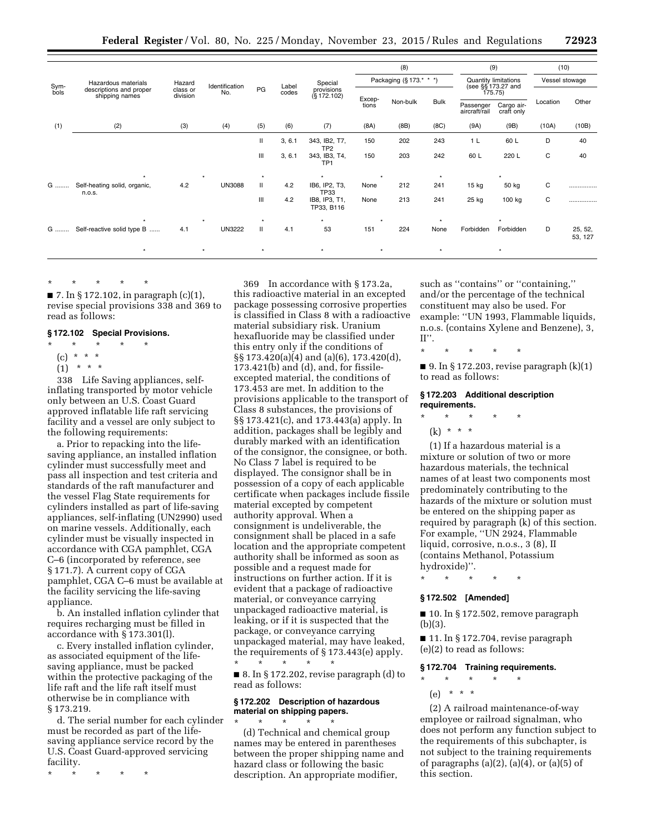|      | Hazardous materials<br>descriptions and proper<br>shipping names |                      |                |              | Label  | Special<br>provisions<br>$(S$ 172.102) | (8)<br>Packaging (§173.* * *) |          |             | (9)<br><b>Quantity limitations</b> |                          | (10)<br>Vessel stowage |                    |
|------|------------------------------------------------------------------|----------------------|----------------|--------------|--------|----------------------------------------|-------------------------------|----------|-------------|------------------------------------|--------------------------|------------------------|--------------------|
| Sym- |                                                                  | Hazard               | Identification |              |        |                                        |                               |          |             |                                    |                          |                        |                    |
| bols |                                                                  | class or<br>division | No.            | PG           | codes  |                                        | Excep-<br>tions               |          |             | (see §§ 173.27 and<br>175.75)      |                          |                        |                    |
|      |                                                                  |                      |                |              |        |                                        |                               | Non-bulk | <b>Bulk</b> | Passenger<br>aircraft/rail         | Cargo air-<br>craft only | Location               | Other              |
| (1)  | (2)                                                              | (3)                  | (4)            | (5)          | (6)    | (7)                                    | (8A)                          | (BB)     | (8C)        | (9A)                               | (9B)                     | (10A)                  | (10B)              |
|      |                                                                  |                      |                | Ш            | 3, 6.1 | 343, IB2, T7,<br>TP <sub>2</sub>       | 150                           | 202      | 243         | 1 <sub>L</sub>                     | 60 L                     | D                      | 40                 |
|      |                                                                  |                      |                | Ш            | 3, 6.1 | 343, IB3, T4,<br>TP <sub>1</sub>       | 150                           | 203      | 242         | 60 L                               | 220 L                    | С                      | 40                 |
|      |                                                                  |                      | $\ddot{}$      | $\star$      |        | $\star$                                | $\star$                       |          | $\star$     |                                    |                          |                        |                    |
| G    | Self-heating solid, organic,<br>n.o.s.                           | 4.2                  | <b>UN3088</b>  | $\mathbf{H}$ | 4.2    | IB6, IP2, T3,<br><b>TP33</b>           | None                          | 212      | 241         | $15$ kg                            | 50 kg                    | С                      |                    |
|      |                                                                  |                      |                | Ш            | 4.2    | IB8, IP3, T1,<br>TP33, B116            | None                          | 213      | 241         | 25 kg                              | 100 kg                   | С                      | .                  |
|      |                                                                  |                      |                |              |        | ٠                                      |                               |          | $\ddot{}$   |                                    |                          |                        |                    |
| G    | Self-reactive solid type B                                       | 4.1                  | <b>UN3222</b>  | Ш            | 4.1    | 53                                     | 151                           | 224      | None        | Forbidden                          | Forbidden                | D                      | 25, 52,<br>53, 127 |
|      | $\star$                                                          |                      | $^\star$       | $\star$      |        | $\star$                                | $^\star$                      |          | $\star$     |                                    | $\star$                  |                        |                    |

\* \* \* \* \*

■ 7. In § 172.102, in paragraph (c)(1), revise special provisions 338 and 369 to read as follows:

### **§ 172.102 Special Provisions.**

- \* \* \* \* \*
- (c) \* \* \*
- $(1)$  \* \* \*

338 Life Saving appliances, selfinflating transported by motor vehicle only between an U.S. Coast Guard approved inflatable life raft servicing facility and a vessel are only subject to the following requirements:

a. Prior to repacking into the lifesaving appliance, an installed inflation cylinder must successfully meet and pass all inspection and test criteria and standards of the raft manufacturer and the vessel Flag State requirements for cylinders installed as part of life-saving appliances, self-inflating (UN2990) used on marine vessels. Additionally, each cylinder must be visually inspected in accordance with CGA pamphlet, CGA C–6 (incorporated by reference, see § 171.7). A current copy of CGA pamphlet, CGA C–6 must be available at the facility servicing the life-saving appliance.

b. An installed inflation cylinder that requires recharging must be filled in accordance with § 173.301(l).

c. Every installed inflation cylinder, as associated equipment of the lifesaving appliance, must be packed within the protective packaging of the life raft and the life raft itself must otherwise be in compliance with § 173.219.

d. The serial number for each cylinder must be recorded as part of the lifesaving appliance service record by the U.S. Coast Guard-approved servicing facility.

\* \* \* \* \*

369 In accordance with § 173.2a, this radioactive material in an excepted package possessing corrosive properties is classified in Class 8 with a radioactive material subsidiary risk. Uranium hexafluoride may be classified under this entry only if the conditions of §§ 173.420(a)(4) and (a)(6), 173.420(d), 173.421(b) and (d), and, for fissileexcepted material, the conditions of 173.453 are met. In addition to the provisions applicable to the transport of Class 8 substances, the provisions of §§ 173.421(c), and 173.443(a) apply. In addition, packages shall be legibly and durably marked with an identification of the consignor, the consignee, or both. No Class 7 label is required to be displayed. The consignor shall be in possession of a copy of each applicable certificate when packages include fissile material excepted by competent authority approval. When a consignment is undeliverable, the consignment shall be placed in a safe location and the appropriate competent authority shall be informed as soon as possible and a request made for instructions on further action. If it is evident that a package of radioactive material, or conveyance carrying unpackaged radioactive material, is leaking, or if it is suspected that the package, or conveyance carrying unpackaged material, may have leaked, the requirements of § 173.443(e) apply. \* \* \* \* \*

■ 8. In § 172.202, revise paragraph (d) to read as follows:

## **§ 172.202 Description of hazardous material on shipping papers.**

\* \* \* \* \* (d) Technical and chemical group names may be entered in parentheses between the proper shipping name and hazard class or following the basic description. An appropriate modifier,

such as ''contains'' or ''containing,'' and/or the percentage of the technical constituent may also be used. For example: ''UN 1993, Flammable liquids, n.o.s. (contains Xylene and Benzene), 3,  $II$ <sup>"</sup>.

\* \* \* \* \*

 $\blacksquare$  9. In § 172.203, revise paragraph  $(k)(1)$ to read as follows:

## **§ 172.203 Additional description requirements.**

\* \* \* \* \*

 $(k) * * * *$ 

(1) If a hazardous material is a mixture or solution of two or more hazardous materials, the technical names of at least two components most predominately contributing to the hazards of the mixture or solution must be entered on the shipping paper as required by paragraph (k) of this section. For example, ''UN 2924, Flammable liquid, corrosive, n.o.s., 3 (8), II (contains Methanol, Potassium hydroxide)''.

\* \* \* \* \*

## **§ 172.502 [Amended]**

■ 10. In § 172.502, remove paragraph (b)(3).

■ 11. In § 172.704, revise paragraph (e)(2) to read as follows:

### **§ 172.704 Training requirements.**

\* \* \* \* \* (e) \* \* \*

(2) A railroad maintenance-of-way employee or railroad signalman, who does not perform any function subject to the requirements of this subchapter, is not subject to the training requirements of paragraphs  $(a)(2)$ ,  $(a)(4)$ , or  $(a)(5)$  of this section.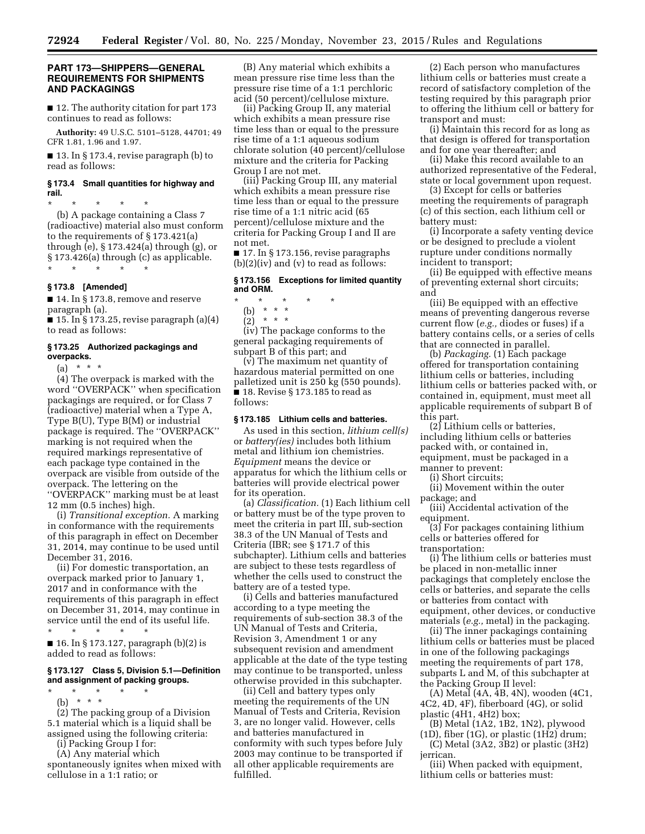## **PART 173—SHIPPERS—GENERAL REQUIREMENTS FOR SHIPMENTS AND PACKAGINGS**

■ 12. The authority citation for part 173 continues to read as follows:

**Authority:** 49 U.S.C. 5101–5128, 44701; 49 CFR 1.81, 1.96 and 1.97.

■ 13. In § 173.4, revise paragraph (b) to read as follows:

### **§ 173.4 Small quantities for highway and rail.**

\* \* \* \* \* (b) A package containing a Class 7 (radioactive) material also must conform to the requirements of § 173.421(a) through (e), § 173.424(a) through (g), or § 173.426(a) through (c) as applicable. \* \* \* \* \*

**§ 173.8 [Amended]** 

■ 14. In § 173.8, remove and reserve paragraph (a).

 $\blacksquare$  15. In § 173.25, revise paragraph (a)(4) to read as follows:

### **§ 173.25 Authorized packagings and overpacks.**

(a) \* \* \*

(4) The overpack is marked with the word ''OVERPACK'' when specification packagings are required, or for Class 7 (radioactive) material when a Type A, Type B(U), Type B(M) or industrial package is required. The ''OVERPACK'' marking is not required when the required markings representative of each package type contained in the overpack are visible from outside of the overpack. The lettering on the ''OVERPACK'' marking must be at least 12 mm (0.5 inches) high.

(i) *Transitional exception.* A marking in conformance with the requirements of this paragraph in effect on December 31, 2014, may continue to be used until December 31, 2016.

(ii) For domestic transportation, an overpack marked prior to January 1, 2017 and in conformance with the requirements of this paragraph in effect on December 31, 2014, may continue in service until the end of its useful life.

\* \* \* \* \* ■ 16. In § 173.127, paragraph (b)(2) is added to read as follows:

### **§ 173.127 Class 5, Division 5.1—Definition and assignment of packing groups.**

\* \* \* \* \*

(b) \* \* \*

(2) The packing group of a Division 5.1 material which is a liquid shall be assigned using the following criteria:

(i) Packing Group I for:

(A) Any material which spontaneously ignites when mixed with cellulose in a 1:1 ratio; or

(B) Any material which exhibits a mean pressure rise time less than the pressure rise time of a 1:1 perchloric acid (50 percent)/cellulose mixture.

(ii) Packing Group II, any material which exhibits a mean pressure rise time less than or equal to the pressure rise time of a 1:1 aqueous sodium chlorate solution (40 percent)/cellulose mixture and the criteria for Packing Group I are not met.

(iii) Packing Group III, any material which exhibits a mean pressure rise time less than or equal to the pressure rise time of a 1:1 nitric acid (65 percent)/cellulose mixture and the criteria for Packing Group I and II are not met.

 $\blacksquare$  17. In § 173.156, revise paragraphs  $(b)(2)(iv)$  and  $(v)$  to read as follows:

#### **§ 173.156 Exceptions for limited quantity and ORM.**

- \* \* \* \* \*
	- (b) \* \* \*
	- $(2) * * * *$

(iv) The package conforms to the general packaging requirements of subpart B of this part; and

(v) The maximum net quantity of hazardous material permitted on one palletized unit is 250 kg (550 pounds). ■ 18. Revise § 173.185 to read as follows:

#### **§ 173.185 Lithium cells and batteries.**

As used in this section, *lithium cell(s)*  or *battery(ies)* includes both lithium metal and lithium ion chemistries. *Equipment* means the device or apparatus for which the lithium cells or batteries will provide electrical power for its operation.

(a) *Classification.* (1) Each lithium cell or battery must be of the type proven to meet the criteria in part III, sub-section 38.3 of the UN Manual of Tests and Criteria (IBR; see § 171.7 of this subchapter). Lithium cells and batteries are subject to these tests regardless of whether the cells used to construct the battery are of a tested type.

(i) Cells and batteries manufactured according to a type meeting the requirements of sub-section 38.3 of the UN Manual of Tests and Criteria, Revision 3, Amendment 1 or any subsequent revision and amendment applicable at the date of the type testing may continue to be transported, unless otherwise provided in this subchapter.

(ii) Cell and battery types only meeting the requirements of the UN Manual of Tests and Criteria, Revision 3, are no longer valid. However, cells and batteries manufactured in conformity with such types before July 2003 may continue to be transported if all other applicable requirements are fulfilled.

(2) Each person who manufactures lithium cells or batteries must create a record of satisfactory completion of the testing required by this paragraph prior to offering the lithium cell or battery for transport and must:

(i) Maintain this record for as long as that design is offered for transportation and for one year thereafter; and

(ii) Make this record available to an authorized representative of the Federal, state or local government upon request.

(3) Except for cells or batteries meeting the requirements of paragraph (c) of this section, each lithium cell or battery must:

(i) Incorporate a safety venting device or be designed to preclude a violent rupture under conditions normally incident to transport;

(ii) Be equipped with effective means of preventing external short circuits; and

(iii) Be equipped with an effective means of preventing dangerous reverse current flow (*e.g.,* diodes or fuses) if a battery contains cells, or a series of cells that are connected in parallel.

(b) *Packaging.* (1) Each package offered for transportation containing lithium cells or batteries, including lithium cells or batteries packed with, or contained in, equipment, must meet all applicable requirements of subpart B of this part.

(2) Lithium cells or batteries, including lithium cells or batteries packed with, or contained in, equipment, must be packaged in a manner to prevent:

(i) Short circuits;

(ii) Movement within the outer package; and

(iii) Accidental activation of the equipment.

(3) For packages containing lithium cells or batteries offered for transportation:

(i) The lithium cells or batteries must be placed in non-metallic inner packagings that completely enclose the cells or batteries, and separate the cells or batteries from contact with equipment, other devices, or conductive materials (*e.g.,* metal) in the packaging.

(ii) The inner packagings containing lithium cells or batteries must be placed in one of the following packagings meeting the requirements of part 178, subparts L and M, of this subchapter at the Packing Group II level:

(A) Metal (4A, 4B, 4N), wooden (4C1, 4C2, 4D, 4F), fiberboard (4G), or solid plastic (4H1, 4H2) box;

(B) Metal (1A2, 1B2, 1N2), plywood (1D), fiber (1G), or plastic (1H2) drum;

(C) Metal (3A2, 3B2) or plastic (3H2) jerrican.

(iii) When packed with equipment, lithium cells or batteries must: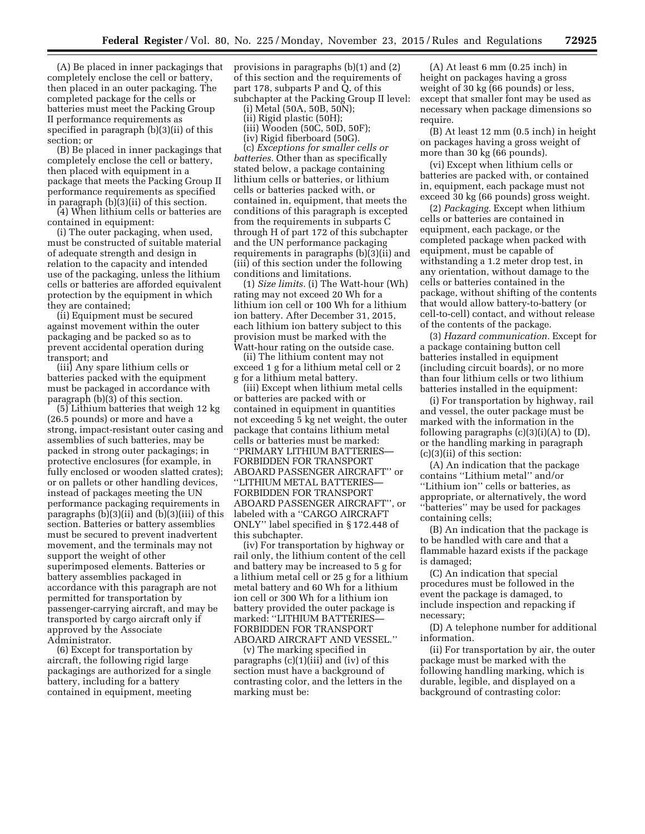(A) Be placed in inner packagings that completely enclose the cell or battery, then placed in an outer packaging. The completed package for the cells or batteries must meet the Packing Group II performance requirements as specified in paragraph (b)(3)(ii) of this section; or

(B) Be placed in inner packagings that completely enclose the cell or battery, then placed with equipment in a package that meets the Packing Group II performance requirements as specified in paragraph (b)(3)(ii) of this section.

(4) When lithium cells or batteries are contained in equipment:

(i) The outer packaging, when used, must be constructed of suitable material of adequate strength and design in relation to the capacity and intended use of the packaging, unless the lithium cells or batteries are afforded equivalent protection by the equipment in which they are contained;

(ii) Equipment must be secured against movement within the outer packaging and be packed so as to prevent accidental operation during transport; and

(iii) Any spare lithium cells or batteries packed with the equipment must be packaged in accordance with paragraph (b)(3) of this section.

(5) Lithium batteries that weigh 12 kg (26.5 pounds) or more and have a strong, impact-resistant outer casing and assemblies of such batteries, may be packed in strong outer packagings; in protective enclosures (for example, in fully enclosed or wooden slatted crates); or on pallets or other handling devices, instead of packages meeting the UN performance packaging requirements in paragraphs (b)(3)(ii) and (b)(3)(iii) of this section. Batteries or battery assemblies must be secured to prevent inadvertent movement, and the terminals may not support the weight of other superimposed elements. Batteries or battery assemblies packaged in accordance with this paragraph are not permitted for transportation by passenger-carrying aircraft, and may be transported by cargo aircraft only if approved by the Associate Administrator.

(6) Except for transportation by aircraft, the following rigid large packagings are authorized for a single battery, including for a battery contained in equipment, meeting

provisions in paragraphs (b)(1) and (2) of this section and the requirements of part 178, subparts P and Q, of this subchapter at the Packing Group II level:

(i) Metal (50A, 50B, 50N);

(ii) Rigid plastic (50H);

(iii) Wooden (50C, 50D, 50F);

(iv) Rigid fiberboard (50G).

(c) *Exceptions for smaller cells or batteries.* Other than as specifically stated below, a package containing lithium cells or batteries, or lithium cells or batteries packed with, or contained in, equipment, that meets the conditions of this paragraph is excepted from the requirements in subparts C through H of part 172 of this subchapter and the UN performance packaging requirements in paragraphs (b)(3)(ii) and (iii) of this section under the following conditions and limitations.

(1) *Size limits.* (i) The Watt-hour (Wh) rating may not exceed 20 Wh for a lithium ion cell or 100 Wh for a lithium ion battery. After December 31, 2015, each lithium ion battery subject to this provision must be marked with the Watt-hour rating on the outside case.

(ii) The lithium content may not exceed 1 g for a lithium metal cell or 2 g for a lithium metal battery.

(iii) Except when lithium metal cells or batteries are packed with or contained in equipment in quantities not exceeding 5 kg net weight, the outer package that contains lithium metal cells or batteries must be marked: ''PRIMARY LITHIUM BATTERIES— FORBIDDEN FOR TRANSPORT ABOARD PASSENGER AIRCRAFT'' or ''LITHIUM METAL BATTERIES— FORBIDDEN FOR TRANSPORT ABOARD PASSENGER AIRCRAFT'', or labeled with a ''CARGO AIRCRAFT ONLY'' label specified in § 172.448 of this subchapter.

(iv) For transportation by highway or rail only, the lithium content of the cell and battery may be increased to 5 g for a lithium metal cell or 25 g for a lithium metal battery and 60 Wh for a lithium ion cell or 300 Wh for a lithium ion battery provided the outer package is marked: ''LITHIUM BATTERIES— FORBIDDEN FOR TRANSPORT ABOARD AIRCRAFT AND VESSEL.''

(v) The marking specified in paragraphs (c)(1)(iii) and (iv) of this section must have a background of contrasting color, and the letters in the marking must be:

(A) At least 6 mm (0.25 inch) in height on packages having a gross weight of 30 kg (66 pounds) or less, except that smaller font may be used as necessary when package dimensions so require.

(B) At least 12 mm (0.5 inch) in height on packages having a gross weight of more than 30 kg (66 pounds).

(vi) Except when lithium cells or batteries are packed with, or contained in, equipment, each package must not exceed 30 kg (66 pounds) gross weight.

(2) *Packaging.* Except when lithium cells or batteries are contained in equipment, each package, or the completed package when packed with equipment, must be capable of withstanding a 1.2 meter drop test, in any orientation, without damage to the cells or batteries contained in the package, without shifting of the contents that would allow battery-to-battery (or cell-to-cell) contact, and without release of the contents of the package.

(3) *Hazard communication.* Except for a package containing button cell batteries installed in equipment (including circuit boards), or no more than four lithium cells or two lithium batteries installed in the equipment:

(i) For transportation by highway, rail and vessel, the outer package must be marked with the information in the following paragraphs  $(c)(3)(i)(A)$  to  $(D)$ , or the handling marking in paragraph (c)(3)(ii) of this section:

(A) An indication that the package contains ''Lithium metal'' and/or ''Lithium ion'' cells or batteries, as appropriate, or alternatively, the word ''batteries'' may be used for packages containing cells;

(B) An indication that the package is to be handled with care and that a flammable hazard exists if the package is damaged;

(C) An indication that special procedures must be followed in the event the package is damaged, to include inspection and repacking if necessary;

(D) A telephone number for additional information.

(ii) For transportation by air, the outer package must be marked with the following handling marking, which is durable, legible, and displayed on a background of contrasting color: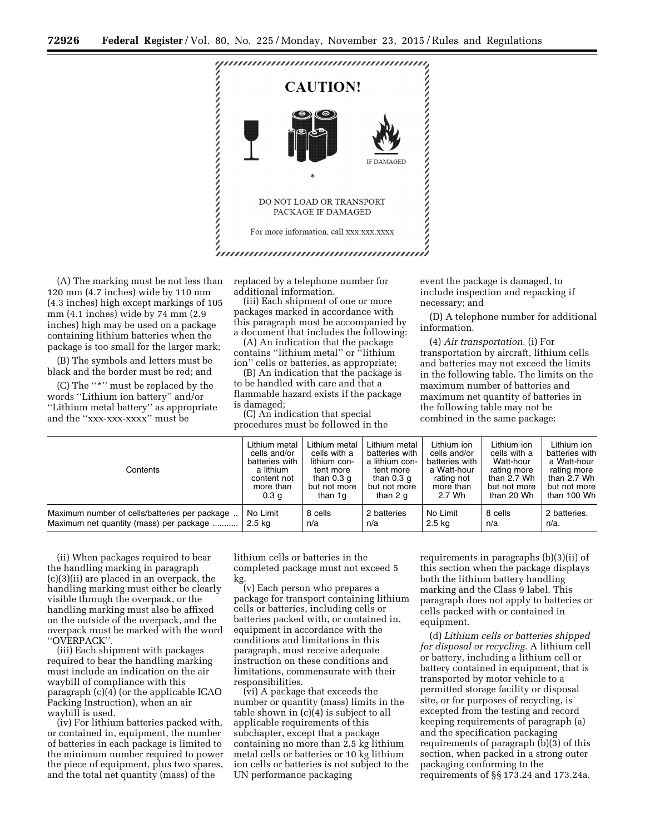

(A) The marking must be not less than 120 mm (4.7 inches) wide by 110 mm (4.3 inches) high except markings of 105 mm (4.1 inches) wide by 74 mm (2.9 inches) high may be used on a package containing lithium batteries when the package is too small for the larger mark;

(B) The symbols and letters must be black and the border must be red; and

(C) The ''\*'' must be replaced by the words ''Lithium ion battery'' and/or ''Lithium metal battery'' as appropriate and the ''xxx-xxx-xxxx'' must be

replaced by a telephone number for additional information.

(iii) Each shipment of one or more packages marked in accordance with this paragraph must be accompanied by a document that includes the following:

(A) An indication that the package contains ''lithium metal'' or ''lithium ion'' cells or batteries, as appropriate;

(B) An indication that the package is to be handled with care and that a flammable hazard exists if the package is damaged;

(C) An indication that special procedures must be followed in the event the package is damaged, to include inspection and repacking if necessary; and

(D) A telephone number for additional information.

(4) *Air transportation.* (i) For transportation by aircraft, lithium cells and batteries may not exceed the limits in the following table. The limits on the maximum number of batteries and maximum net quantity of batteries in the following table may not be combined in the same package:

| Contents                                      | Lithium metal    | Lithium metal | Lithium metal  | Lithium ion    | Lithium ion  | Lithium ion    |  |
|-----------------------------------------------|------------------|---------------|----------------|----------------|--------------|----------------|--|
|                                               | cells and/or     | cells with a  | batteries with | cells and/or   | cells with a | batteries with |  |
|                                               | batteries with   | lithium con-  | a lithium con- | batteries with | Watt-hour    | a Watt-hour    |  |
|                                               | a lithium        | tent more     | tent more      | a Watt-hour    | rating more  | rating more    |  |
|                                               | content not      | than 0.3 q    | than 0.3 q     | rating not     | than 2.7 Wh  | than 2.7 Wh    |  |
|                                               | more than        | but not more  | but not more   | more than      | but not more | but not more   |  |
|                                               | 0.3 <sub>q</sub> | than 1g       | than 2 q       | 2.7 Wh         | than 20 Wh   | than 100 Wh    |  |
| Maximum number of cells/batteries per package | No Limit         | 8 cells       | 2 batteries    | No Limit       | 8 cells      | 2 batteries.   |  |
| Maximum net quantity (mass) per package       | 2.5 ka           | n/a           | n/a            | 2.5 kg         | n/a          | n/a.           |  |

(ii) When packages required to bear the handling marking in paragraph (c)(3)(ii) are placed in an overpack, the handling marking must either be clearly visible through the overpack, or the handling marking must also be affixed on the outside of the overpack, and the overpack must be marked with the word ''OVERPACK''.

(iii) Each shipment with packages required to bear the handling marking must include an indication on the air waybill of compliance with this paragraph (c)(4) (or the applicable ICAO Packing Instruction), when an air waybill is used.

(iv) For lithium batteries packed with, or contained in, equipment, the number of batteries in each package is limited to the minimum number required to power the piece of equipment, plus two spares, and the total net quantity (mass) of the

lithium cells or batteries in the completed package must not exceed 5 kg.

(v) Each person who prepares a package for transport containing lithium cells or batteries, including cells or batteries packed with, or contained in, equipment in accordance with the conditions and limitations in this paragraph, must receive adequate instruction on these conditions and limitations, commensurate with their responsibilities.

(vi) A package that exceeds the number or quantity (mass) limits in the table shown in (c)(4) is subject to all applicable requirements of this subchapter, except that a package containing no more than 2.5 kg lithium metal cells or batteries or 10 kg lithium ion cells or batteries is not subject to the UN performance packaging

requirements in paragraphs (b)(3)(ii) of this section when the package displays both the lithium battery handling marking and the Class 9 label. This paragraph does not apply to batteries or cells packed with or contained in equipment.

(d) *Lithium cells or batteries shipped for disposal or recycling.* A lithium cell or battery, including a lithium cell or battery contained in equipment, that is transported by motor vehicle to a permitted storage facility or disposal site, or for purposes of recycling, is excepted from the testing and record keeping requirements of paragraph (a) and the specification packaging requirements of paragraph (b)(3) of this section, when packed in a strong outer packaging conforming to the requirements of §§ 173.24 and 173.24a.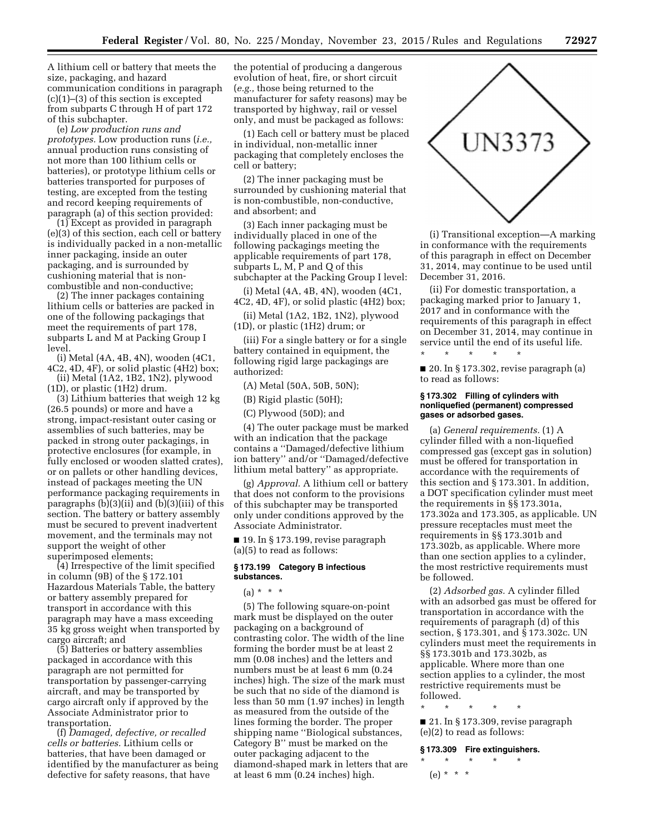A lithium cell or battery that meets the size, packaging, and hazard communication conditions in paragraph (c)(1)–(3) of this section is excepted from subparts C through H of part 172 of this subchapter.

(e) *Low production runs and prototypes.* Low production runs (*i.e.,*  annual production runs consisting of not more than 100 lithium cells or batteries), or prototype lithium cells or batteries transported for purposes of testing, are excepted from the testing and record keeping requirements of paragraph (a) of this section provided:

(1) Except as provided in paragraph (e)(3) of this section, each cell or battery is individually packed in a non-metallic inner packaging, inside an outer packaging, and is surrounded by cushioning material that is noncombustible and non-conductive;

(2) The inner packages containing lithium cells or batteries are packed in one of the following packagings that meet the requirements of part 178, subparts L and M at Packing Group I level.

(i) Metal (4A, 4B, 4N), wooden (4C1, 4C2, 4D, 4F), or solid plastic (4H2) box; (ii) Metal (1A2, 1B2, 1N2), plywood

(1D), or plastic (1H2) drum.

(3) Lithium batteries that weigh 12 kg (26.5 pounds) or more and have a strong, impact-resistant outer casing or assemblies of such batteries, may be packed in strong outer packagings, in protective enclosures (for example, in fully enclosed or wooden slatted crates), or on pallets or other handling devices, instead of packages meeting the UN performance packaging requirements in paragraphs  $(b)(3)(ii)$  and  $(b)(3)(iii)$  of this section. The battery or battery assembly must be secured to prevent inadvertent movement, and the terminals may not support the weight of other superimposed elements;

(4) Irrespective of the limit specified in column (9B) of the § 172.101 Hazardous Materials Table, the battery or battery assembly prepared for transport in accordance with this paragraph may have a mass exceeding 35 kg gross weight when transported by cargo aircraft; and

(5) Batteries or battery assemblies packaged in accordance with this paragraph are not permitted for transportation by passenger-carrying aircraft, and may be transported by cargo aircraft only if approved by the Associate Administrator prior to transportation.

(f) *Damaged, defective, or recalled cells or batteries.* Lithium cells or batteries, that have been damaged or identified by the manufacturer as being defective for safety reasons, that have

the potential of producing a dangerous evolution of heat, fire, or short circuit (*e.g.,* those being returned to the manufacturer for safety reasons) may be transported by highway, rail or vessel only, and must be packaged as follows:

(1) Each cell or battery must be placed in individual, non-metallic inner packaging that completely encloses the cell or battery;

(2) The inner packaging must be surrounded by cushioning material that is non-combustible, non-conductive, and absorbent; and

(3) Each inner packaging must be individually placed in one of the following packagings meeting the applicable requirements of part 178, subparts L, M, P and Q of this subchapter at the Packing Group I level:

(i) Metal (4A, 4B, 4N), wooden (4C1, 4C2, 4D, 4F), or solid plastic (4H2) box;

(ii) Metal (1A2, 1B2, 1N2), plywood (1D), or plastic (1H2) drum; or

(iii) For a single battery or for a single battery contained in equipment, the following rigid large packagings are authorized:

(A) Metal (50A, 50B, 50N);

(B) Rigid plastic (50H);

(C) Plywood (50D); and

(4) The outer package must be marked with an indication that the package contains a ''Damaged/defective lithium ion battery'' and/or ''Damaged/defective lithium metal battery'' as appropriate.

(g) *Approval.* A lithium cell or battery that does not conform to the provisions of this subchapter may be transported only under conditions approved by the Associate Administrator.

■ 19. In § 173.199, revise paragraph (a)(5) to read as follows:

#### **§ 173.199 Category B infectious substances.**

 $(a) * * * *$ 

(5) The following square-on-point mark must be displayed on the outer packaging on a background of contrasting color. The width of the line forming the border must be at least 2 mm (0.08 inches) and the letters and numbers must be at least 6 mm (0.24 inches) high. The size of the mark must be such that no side of the diamond is less than 50 mm (1.97 inches) in length as measured from the outside of the lines forming the border. The proper shipping name ''Biological substances, Category B'' must be marked on the outer packaging adjacent to the diamond-shaped mark in letters that are at least 6 mm (0.24 inches) high.



(i) Transitional exception—A marking in conformance with the requirements of this paragraph in effect on December 31, 2014, may continue to be used until December 31, 2016.

(ii) For domestic transportation, a packaging marked prior to January 1, 2017 and in conformance with the requirements of this paragraph in effect on December 31, 2014, may continue in service until the end of its useful life.

■ 20. In § 173.302, revise paragraph (a) to read as follows:

\* \* \* \* \*

### **§ 173.302 Filling of cylinders with nonliquefied (permanent) compressed gases or adsorbed gases.**

(a) *General requirements.* (1) A cylinder filled with a non-liquefied compressed gas (except gas in solution) must be offered for transportation in accordance with the requirements of this section and § 173.301. In addition, a DOT specification cylinder must meet the requirements in §§ 173.301a, 173.302a and 173.305, as applicable. UN pressure receptacles must meet the requirements in §§ 173.301b and 173.302b, as applicable. Where more than one section applies to a cylinder, the most restrictive requirements must be followed.

(2) *Adsorbed gas.* A cylinder filled with an adsorbed gas must be offered for transportation in accordance with the requirements of paragraph (d) of this section, § 173.301, and § 173.302c. UN cylinders must meet the requirements in §§ 173.301b and 173.302b, as applicable. Where more than one section applies to a cylinder, the most restrictive requirements must be followed.

■ 21. In § 173.309, revise paragraph (e)(2) to read as follows:

#### **§ 173.309 Fire extinguishers.**

\* \* \* \* \*  $(e) * * * *$ 

\* \* \* \* \*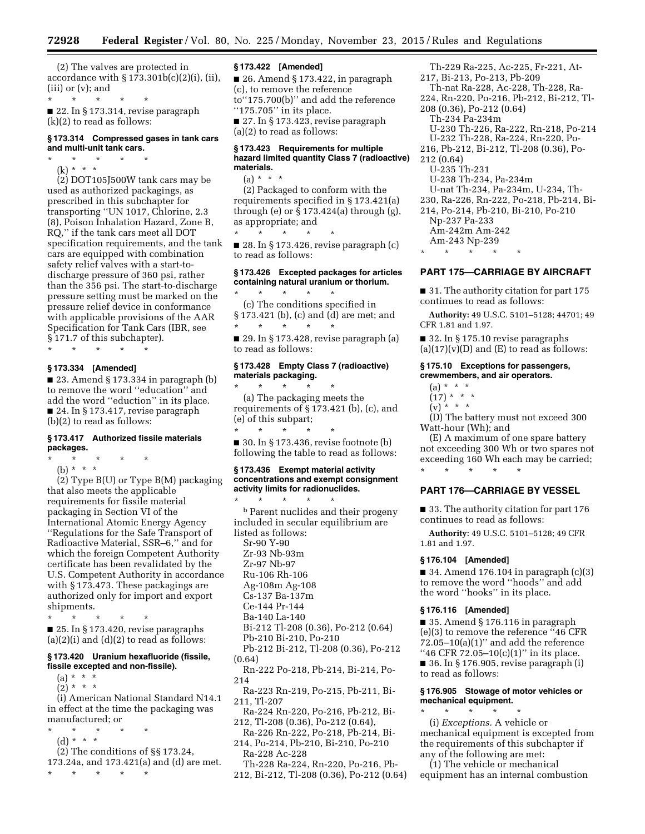(2) The valves are protected in accordance with  $\S 173.301b(c)(2)(i)$ , (ii), (iii) or (v); and

\* \* \* \* \* ■ 22. In § 173.314, revise paragraph (k)(2) to read as follows:

### **§ 173.314 Compressed gases in tank cars and multi-unit tank cars.**

 $\star$   $\star$   $\star$ (k) \* \* \*

(2) DOT105J500W tank cars may be used as authorized packagings, as prescribed in this subchapter for transporting ''UN 1017, Chlorine, 2.3 (8), Poison Inhalation Hazard, Zone B, RQ,'' if the tank cars meet all DOT specification requirements, and the tank cars are equipped with combination safety relief valves with a start-todischarge pressure of 360 psi, rather than the 356 psi. The start-to-discharge pressure setting must be marked on the pressure relief device in conformance with applicable provisions of the AAR Specification for Tank Cars (IBR, see § 171.7 of this subchapter).

\* \* \* \* \*

### **§ 173.334 [Amended]**

 $\blacksquare$  23. Amend § 173.334 in paragraph (b) to remove the word ''education'' and add the word ''eduction'' in its place. ■ 24. In § 173.417, revise paragraph (b)(2) to read as follows:

### **§ 173.417 Authorized fissile materials packages.**

\* \* \* \* \* (b) \* \* \*

(2) Type B(U) or Type B(M) packaging that also meets the applicable requirements for fissile material packaging in Section VI of the International Atomic Energy Agency ''Regulations for the Safe Transport of Radioactive Material, SSR–6,'' and for which the foreign Competent Authority certificate has been revalidated by the U.S. Competent Authority in accordance with § 173.473. These packagings are authorized only for import and export shipments.

\* \* \* \* \* ■ 25. In § 173.420, revise paragraphs  $(a)(2)(i)$  and  $(d)(2)$  to read as follows:

### **§ 173.420 Uranium hexafluoride (fissile, fissile excepted and non-fissile).**

 $(a) * * * *$ 

 $(2) * * * *$ 

(i) American National Standard N14.1 in effect at the time the packaging was manufactured; or

- \* \* \* \* \*
	- (d) \* \* \*

(2) The conditions of §§ 173.24, 173.24a, and 173.421(a) and (d) are met.

\* \* \* \* \*

### **§ 173.422 [Amended]**

■ 26. Amend § 173.422, in paragraph (c), to remove the reference to''175.700(b)'' and add the reference "175.705" in its place. ■ 27. In § 173.423, revise paragraph (a)(2) to read as follows:

### **§ 173.423 Requirements for multiple hazard limited quantity Class 7 (radioactive) materials.**

(a) \* \* \* (2) Packaged to conform with the requirements specified in § 173.421(a) through (e) or  $\S 173.424$ (a) through (g), as appropriate; and

\* \* \* \* \* ■ 28. In § 173.426, revise paragraph (c) to read as follows:

## **§ 173.426 Excepted packages for articles containing natural uranium or thorium.**

\* \* \* \* \* (c) The conditions specified in § 173.421 (b), (c) and (d) are met; and \* \* \* \* \*

 $\blacksquare$  29. In § 173.428, revise paragraph (a) to read as follows:

### **§ 173.428 Empty Class 7 (radioactive) materials packaging.**  \* \* \* \* \*

(a) The packaging meets the requirements of § 173.421 (b), (c), and (e) of this subpart; \* \* \* \* \*

■ 30. In § 173.436, revise footnote (b) following the table to read as follows:

#### **§ 173.436 Exempt material activity concentrations and exempt consignment activity limits for radionuclides.**

\* \* \* \* \* b Parent nuclides and their progeny included in secular equilibrium are listed as follows: Sr-90 Y-90 Zr-93 Nb-93m Zr-97 Nb-97 Ru-106 Rh-106 Ag-108m Ag-108 Cs-137 Ba-137m Ce-144 Pr-144 Ba-140 La-140 Bi-212 Tl-208 (0.36), Po-212 (0.64) Pb-210 Bi-210, Po-210 Pb-212 Bi-212, Tl-208 (0.36), Po-212 (0.64) Rn-222 Po-218, Pb-214, Bi-214, Po-214 Ra-223 Rn-219, Po-215, Pb-211, Bi-211, Tl-207 Ra-224 Rn-220, Po-216, Pb-212, Bi-

212, Tl-208 (0.36), Po-212 (0.64),

Ra-226 Rn-222, Po-218, Pb-214, Bi-214, Po-214, Pb-210, Bi-210, Po-210 Ra-228 Ac-228

Th-228 Ra-224, Rn-220, Po-216, Pb-212, Bi-212, Tl-208 (0.36), Po-212 (0.64)

Th-229 Ra-225, Ac-225, Fr-221, At-217, Bi-213, Po-213, Pb-209 Th-nat Ra-228, Ac-228, Th-228, Ra-224, Rn-220, Po-216, Pb-212, Bi-212, Tl-208 (0.36), Po-212 (0.64) Th-234 Pa-234m U-230 Th-226, Ra-222, Rn-218, Po-214 U-232 Th-228, Ra-224, Rn-220, Po-216, Pb-212, Bi-212, Tl-208 (0.36), Po-212 (0.64) U-235 Th-231 U-238 Th-234, Pa-234m U-nat Th-234, Pa-234m, U-234, Th-230, Ra-226, Rn-222, Po-218, Pb-214, Bi-214, Po-214, Pb-210, Bi-210, Po-210 Np-237 Pa-233 Am-242m Am-242 Am-243 Np-239 \* \* \* \* \*

## **PART 175—CARRIAGE BY AIRCRAFT**

■ 31. The authority citation for part 175 continues to read as follows:

**Authority:** 49 U.S.C. 5101–5128; 44701; 49 CFR 1.81 and 1.97.

■ 32. In § 175.10 revise paragraphs  $(a)(17)(v)(D)$  and  $(E)$  to read as follows:

### **§ 175.10 Exceptions for passengers, crewmembers, and air operators.**

- $(a) * * * *$
- $(17) * * * *$
- $(y) * * * *$

(D) The battery must not exceed 300 Watt-hour (Wh); and

(E) A maximum of one spare battery not exceeding 300 Wh or two spares not exceeding 160 Wh each may be carried; \* \* \* \* \*

### **PART 176—CARRIAGE BY VESSEL**

■ 33. The authority citation for part 176 continues to read as follows:

**Authority:** 49 U.S.C. 5101–5128; 49 CFR 1.81 and 1.97.

### **§ 176.104 [Amended]**

 $\blacksquare$  34. Amend 176.104 in paragraph  $(c)(3)$ to remove the word ''hoods'' and add the word ''hooks'' in its place.

#### **§ 176.116 [Amended]**

■ 35. Amend § 176.116 in paragraph (e)(3) to remove the reference ''46 CFR  $72.05-10(a)(1)$ " and add the reference "46 CFR 72.05-10(c)(1)" in its place. ■ 36. In § 176.905, revise paragraph (i) to read as follows:

#### **§ 176.905 Stowage of motor vehicles or mechanical equipment.**  \* \* \* \* \*

(i) *Exceptions.* A vehicle or mechanical equipment is excepted from the requirements of this subchapter if any of the following are met:

(1) The vehicle or mechanical equipment has an internal combustion